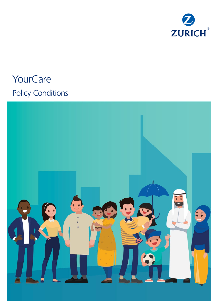

# **YourCare** Policy Conditions

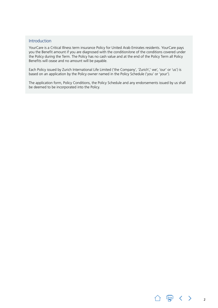#### <span id="page-1-0"></span>Introduction

YourCare is a Critical Illness term insurance Policy for United Arab Emirates residents. YourCare pays you the Benefit amount if you are diagnosed with the condition/one of the conditions covered under the Policy during the Term. The Policy has no cash value and at the end of the Policy Term all Policy Benefits will cease and no amount will be payable.

Each Policy issued by Zurich International Life Limited ('the Company', 'Zurich',' we', 'our' or 'us') is based on an application by the Policy owner named in the Policy Schedule ('you' or 'your').

The application form, Policy Conditions, the Policy Schedule and any endorsements issued by us shall be deemed to be incorporated into the Policy.

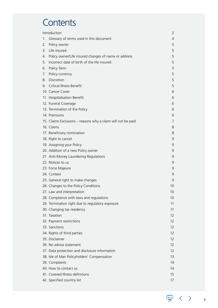# **Contents**

|    | Introduction<br>2                                            |    |  |
|----|--------------------------------------------------------------|----|--|
| 1. | Glossary of terms used in this document                      | 4  |  |
| 2. | Policy owner                                                 | 5  |  |
| 3. | Life insured                                                 | 5  |  |
| 4. | Policy owner/Life insured changes of name or address         | 5  |  |
| 5. | Incorrect date of birth of the life insured                  | 5  |  |
| 6. | Policy Term                                                  | 5  |  |
| 7. | Policy currency                                              | 5  |  |
| 8. | Discretion                                                   | 5  |  |
| 9. | Critical Illness Benefit                                     | 5  |  |
|    | 10. Cancer Cover                                             | 6  |  |
|    | 11. Hospitalisation Benefit                                  | 6  |  |
|    | 12. Funeral Coverage                                         | 6  |  |
|    | 13. Termination of the Policy                                | 6  |  |
|    | 14. Premiums                                                 | 6  |  |
|    | 15. Claims Exclusions - reasons why a claim will not be paid | 7  |  |
|    | 16. Claims                                                   | 8  |  |
|    | 17. Beneficiary nomination                                   | 8  |  |
|    | 18. Right to cancel                                          | 9  |  |
|    | 19. Assigning your Policy                                    | 9  |  |
|    | 20. Addition of a new Policy owner                           | 9  |  |
|    | 21. Anti-Money Laundering Regulations                        | 9  |  |
|    | 22. Notices to us                                            | 9  |  |
|    | 23. Force Majeure                                            | 9  |  |
|    | 24. Context                                                  | 9  |  |
|    | 25. General right to make changes                            | 9  |  |
|    | 26. Changes to the Policy Conditions                         | 10 |  |
|    | 27. Law and interpretation                                   | 10 |  |
|    | 28. Compliance with laws and regulations                     | 10 |  |
|    | 29. Termination right due to regulatory exposure             | 11 |  |
|    | 30. Changing tax residency                                   | 11 |  |
|    | 31. Taxation                                                 | 12 |  |
|    | 32. Payment restrictions                                     | 12 |  |
|    | 33. Sanctions                                                | 12 |  |
|    | 34. Rights of third parties                                  | 12 |  |
|    | 35. Disclaimer                                               | 12 |  |
|    | 36. No advice statement                                      | 12 |  |
|    | 37. Data protection and disclosure information               | 12 |  |
|    | 38. Isle of Man Policyholders' Compensation                  | 13 |  |
|    | 39. Complaints                                               | 14 |  |
|    | 40. How to contact us                                        | 14 |  |
|    | 41. Covered Illness definitions                              | 15 |  |
|    | 42. Specified country list                                   | 17 |  |

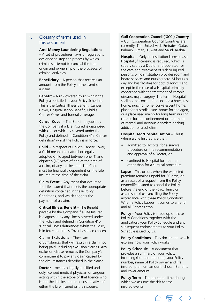#### <span id="page-3-0"></span>1. Glossary of terms used in this document

#### **Anti-Money Laundering Regulations**

– A set of procedures, laws or regulations designed to stop the process by which criminals attempt to conceal the true origin and ownership of the proceeds of criminal activities.

**Beneficiary** – A person that receives an amount from the Policy in the event of a claim.

**Benefit** – A risk covered by us within the Policy as detailed in your Policy Schedule. This is the Critical Illness Benefit, Cancer Cover, Hospitalisation Benefit, Child's Cancer Cover and funeral coverage.

**Cancer Cover** – The Benefit payable by the Company if a Life Insured is diagnosed with cancer which is covered under the Policy and defined in Condition 41a 'Cancer definition' whilst the Policy is in force.

**Child** – In respect of Child's Cancer Cover, a Child means the natural or legally adopted Child aged between one (1) and eighteen (18) years of age at the time of a claim, of any Life Insured. The Child must be financially dependent on the Life Insured at the time of the claim.

**Claim Event** – Any event that occurs to the Life Insured that meets the appropriate definition contained in these Policy Conditions, and which triggers the payment of a claim.

**Critical Illness Benefit** – The Benefit payable by the Company if a Life Insured is diagnosed by any illness covered under the Policy and defined in Condition 41b 'Critical Illness definitions' whilst the Policy is in force and if this Cover has been chosen.

**Claims Exclusions** – These are circumstances that will result in a claim not being paid, including exclusion clauses. Any exclusion clause removes the Company's commitment to pay any claim caused by the circumstances described in the clause.

**Doctor** – means a legally qualified and duly licensed medical physician or surgeon acting within the scope of that licence who is not the Life Insured or a close relative of either the Life Insured or their spouse.

#### **Gulf Cooperation Council ('GCC') Country**

– Gulf Cooperation Council Countries are currently: The United Arab Emirates, Qatar, Bahrain, Oman, Kuwait and Saudi Arabia.

**Hospital** – Only an institution licensed as a Hospital (if licensing is required) which is supervised by a Doctor and operated for the care and treatment of sick or injured persons, which institution provides room and board services and nursing care 24 hours a day and has facilities for both diagnosis and, except in the case of a Hospital primarily concerned with the treatment of chronic disease, major surgery. The term "Hospital" shall not be construed to include a hotel, rest home, nursing home, convalescent home, place for custodial care, home for the aged, or a place used mainly for long term nursing care or for the confinement or treatment of mental and nervous disorders or drug addiction or alcoholism.

**Hospitalised/Hospitalisation** – This is where a Life Insured is either:

- admitted to Hospital for a surgical procedure on the recommendation and approval of a Doctor; or
- confined to Hospital for treatment other than for a surgical procedure.

**Lapse** – This occurs when the expected premium remains unpaid for 30 days, or as a result of a request from the Policy owner/life insured to cancel the Policy before the end of the Policy Term, or as a result of us cancelling the Policy in accordance with these Policy Conditions. When a Policy Lapses, it comes to an end and all Benefits stop.

**Policy** – Your Policy is made up of these Policy Conditions together with the application, your Policy Schedule and any subsequent endorsements to your Policy Schedule issued by us.

**Policy Conditions** – This document, which explains how your Policy works.

**Policy Schedule** – A document that provides a summary of your Policy, including (but not limited to) your Policy number, name of Policy owner and life insured, premium amount, chosen Benefits and cover amount.

**Policy Term** – The period of time during which we assume the risk for the insured events.

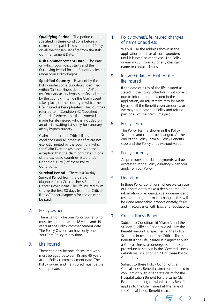<span id="page-4-0"></span>**Qualifying Period** – The period of time specified in these conditions before a claim can be paid. This is a total of 90 days on all the chosen Benefits from the Risk Commencement Date.

**Risk Commencement Date** – The date on which your Policy starts and the Qualifying Period for the Benefits selected under your Policy begins.

**Specified Country** – Payment by the Policy under some conditions identified within 'Critical Illness definitions' 41b (v) Coronary artery bypass grafts, is limited by the country in which the Claim Event takes place, or the country in which the Life Insured is being treated. The countries referred to in Condition 42 'Specified Countries' where a partial payment is made for life insured who is included on an official waiting list solely for coronary artery bypass surgery.

Claims for all other Critical Illness conditions and all other Benefits are not explicitly limited by the country in which the Claim Event takes place, with the exception that the claim originates in one of the excluded countries listed under Condition 15 xiii) of these Policy Conditions.

**Survival Period** – There is a 30 day Survival Period from the date of diagnosis for a Critical Illness Benefit or Cancer Cover claim. The life insured must survive the first 30 days from the Critical Illness/Cancer diagnosis for the claim to be paid.

#### 2. Policy owner

There can only be one Policy owner who must be aged between 18 years and 49 years at the Policy commencement date. The Policy Owner can have only one YourCare Policy at any time.

#### 3. Life insured

There can only be one life insured who must be aged between 18 and 49 years at the Policy commencement date. The Policy owner and life insured must be the same person.

#### 4. Policy owner/Life insured changes of name or address

We will use the address shown in the application form for all correspondence until it is notified otherwise. The Policy owner must inform us of any change in name or contact details.

#### 5. Incorrect date of birth of the life insured

If the date of birth of the life insured as stated in the Policy Schedule is not correct due to information provided in the application, an adjustment may be made by us to all the Benefit cover amounts, or we may terminate the Policy and refund part or all of the premiums paid.

#### 6. Policy Term

The Policy Term is shown in the Policy Schedule and cannot be changed. At the end of the Policy Term all Policy Benefits stop and the Policy ends without value.

#### 7. Policy currency

All premiums and claim payments will be expressed in the Policy currency when you apply for your Policy.

#### 8. Discretion

In these Policy Conditions, where we can use our discretion to make a decision, require information or evidence, use judgement and reserve the right or make changes, this will be done reasonably, proportionately, fairly and in accordance with laws and regulations.

#### 9. Critical Illness Benefit

Subject to Condition 16 'Claims', and the 90 day Qualifying Period, we will pay the Benefit amount as specified in the Policy Schedule in respect of the Critical Illness Benefit if the Life Insured is diagnosed with a Critical Illness, or undergoes a medical procedure as set out in the 'Covered Illness definitions' in Condition 41 of these Policy Conditions.

Subject to these Policy Conditions, a Critical Illness Benefit claim could be paid in conjunction with a separate claim for the Hospitalisation Benefit for the same Claim Event, depending on whether this Benefit applies to the Life Insured at the time of the Critical Illness Benefit claim.



 $\rightarrow$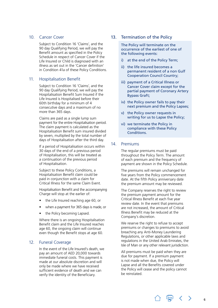#### <span id="page-5-0"></span>10. Cancer Cover

Subject to Condition 16 'Claims', and the 90 day Qualifying Period, we will pay the Benefit amount as specified in the Policy Schedule in respect of Cancer Cover if the Life Insured or Child is diagnosed with an illness as set out in the 'Cancer definition' in Condition 41a of these Policy Conditions.

#### 11. Hospitalisation Benefit

Subject to Condition 16 'Claims', and the 90 day Qualifying Period, we will pay the Hospitalisation Benefit Sum Insured if the Life Insured is Hospitalised before their 60th birthday for a minimum of 4 consecutive days and a maximum of no more than 365 days.

Claims are paid as a single lump sum payment for the entire Hospitalisation period. The claim payment is calculated as the Hospitalisation Benefit sum insured divided by seven, multiplied by the total number of days of Hospitalisation after the third day.

If a period of Hospitalisation occurs within 30 days of the end of a previous period of Hospitalisation, this will be treated as a continuation of the previous period of Hospitalisation.

Subject to these Policy Conditions, a Hospitalisation Benefit claim could be paid in conjunction with a claim for Critical Illness for the same Claim Event.

Hospitalisation Benefit and the accompanying Charge will stop at the earlier of:

- the Life Insured reaching age 60, or
- when a payment for 365 days is made, or
- the Policy becoming Lapsed.

Where there is an ongoing Hospitalisation Benefit claim and the Life Insured reaches age 60, the ongoing claim will continue even though the Benefit stops at age 60.

#### 12. Funeral Coverage

In the event of the Life Insured's death, we pay an amount of AED 20,000 towards immediate funeral costs. This payment is made at our absolute discretion and will only be made where we have received sufficient evidence of death and we can verify the identity of the Beneficiary.

#### 13. Termination of the Policy

The Policy will terminate on the occurrence of the earliest of one of the following events:

- i) at the end of the Policy Term;
- ii) the life insured becomes a permanent resident of a non Gulf Cooperation Council Country;
- iii) payment of a Critical Illness or Cancer Cover claim except for the partial payment of Coronary Artery Bypass Graft;
- iv) the Policy owner fails to pay their next premium and the Policy Lapses;
- v) the Policy owner requests in writing for us to Lapse the Policy;
- vi) we terminate the Policy in compliance with these Policy Conditions.

#### 14. Premiums

The regular premiums must be paid throughout the Policy Term. The amount of each premium and the frequency of payment are shown in the Policy Schedule.

The premiums will remain unchanged for five years from the Policy commencement date. At the fifth Policy anniversary date the premium amount may be reviewed.

The Company reserves the right to review the premium payment amount for the Critical Illness Benefit at each five year review date. In the event that premiums are not increased, the amount of Critical Illness Benefit may be reduced at the Company's discretion.

We reserve the right to refuse to accept premiums or changes to premiums to avoid breaching any Anti-Money Laundering Regulations, or other applicable laws and regulations in the United Arab Emirates, the Isle of Man or any other relevant jurisdiction.

All premiums must be paid when they are due for payment. If a premium payment is not made when due, the Policy will Lapse and all the Benefits covered under the Policy will cease and the policy cannot be reinstated.

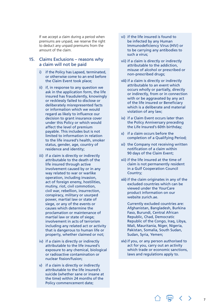<span id="page-6-0"></span>If we accept a claim during a period when premiums are unpaid, we reserve the right to deduct any unpaid premiums from the amount of the claim.

#### 15. Claims Exclusions – reasons why a claim will not be paid

- i) if the Policy has Lapsed, terminated, or otherwise come to an end before the Claim Event took place;
- ii) if, in response to any question we ask in the application form, the life insured has fraudulently, knowingly or recklessly failed to disclose or deliberately misrepresented facts or information which we would regard as likely to influence our decision to grant insurance cover under this Policy or which would affect the level of premium payable. This includes but is not limited to information in relation to the life insured's health, smoker status, gender, age, country of residence and identity;
- iii) if a claim is directly or indirectly attributable to the death of the life insured through active involvement caused by or in any way related to war or warlike operation, including invasion, act of foreign enemy, hostilities, mutiny, riot, civil commotion, civil war, rebellion, insurrection, conspiracy, military or usurped power, martial law or state of siege, or any of the events or causes which determine the proclamation or maintenance of martial law or state of siege; involvement in acts of terrorism including any related act or activity that is dangerous to human life or property, whether claimed or not;
- iv) if a claim is directly or indirectly attributable to the life insured's exposure to any chemical, biological or radioactive contamination or nuclear fission/fusion;
- v) if a claim is directly or indirectly attributable to the life insured's suicide (whether sane or insane at the time) within 24 months of the Policy commencement date;
- vi) if the life insured is found to be infected by any Human Immunodeficiency Virus (HIV) or to be carrying any antibodies to such a virus;
- vii) if a claim is directly or indirectly attributable to the addiction, misuse of alcohol or prescribed or non‑prescribed drugs;
- viii) if a claim is directly or indirectly attributable to an event which occurs wholly or partially, directly or indirectly, from or in connection with or be aggravated by any act of the life insured or Beneficiary which is a deliberate and material violation of any law;
- ix) if a Claim Event occurs later than the Policy Anniversary preceding the Life Insured's 60th birthday;
- x) if a claim occurs before the completion of a Qualifying Period;
- xi) the Company not receiving written notification of a claim within 90 days of the Claim Event;
- xii) if the life insured at the time of claim is not permanently resident in a Gulf Cooperation Council Country;
- xiii) if the claim originates in any of the excluded countries which can be viewed under the YourCare product information on our website [zurich.ae](http://zurich.ae).

Currently excluded countries are: Afghanistan, Bangladesh, Burkina Faso, Burundi, Central African Republic, Chad, Democratic Republic of the Congo, Iraq, Libya, Mali, Mauritania, Niger, Nigeria, Pakistan, Somalia, South Sudan, Sudan, Syria, Yemen;

xiv) if you, or any person authorised to act for you, carry out an activity which trade or economic sanctions, laws and regulations apply to.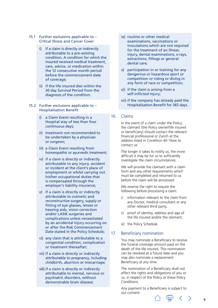- <span id="page-7-0"></span>15.1 Further exclusions applicable to – Critical Illness and Cancer Cover
	- i) if a claim is directly or indirectly attributable to a pre-existing condition. A condition for which the insured received medical treatment, care, advice, or medication within the 12 consecutive month period before the commencement date of coverage;
	- ii) if the life insured dies within the 30 day Survival Period from the diagnosis of the condition.
- 15.2 Further exclusions applicable to Hospitalisation Benefit
	- i) a Claim Event resulting in a Hospital stay of less than four continuous days;
	- ii) treatment not recommended to be undertaken by a physician or surgeon;
	- iii) a Claim Event resulting from homeopathic or ayurvedic treatment;
	- iv) if a claim is directly or indirectly attributable to any injury, accident or incident at the client's place of employment or whilst carrying out his/her occupational duties that is compensated through the employer's liability insurance;
	- v) if a claim is directly or indirectly attributable to cosmetic and reconstructive surgery, supply or fitting of eye glasses, lenses or hearing aids, vision correction and/or LASIK surgeries and complications unless necessitated by an accidental injury occurring on or after the Risk Commencement Date stated in the Policy Schedule;
	- vi) any claim that is attributable to a congenital condition, complication or treatment thereafter;
	- vii) if a claim is directly or indirectly attributable to pregnancy, including childbirth, abortion or miscarriage;
	- viii) if a claim is directly or indirectly attributable to mental, nervous or psychiatric disorders, without demonstrable brain disease;
- ix) routine or other medical examinations, vaccinations or inoculations which are not required for the treatment of an illness, injury, dental examinations, x-rays, extractions, fillings or general dental care;
- x) participation in or training for any dangerous or hazardous sport or competition or riding or diving in any form of race or competition;
- xi) if the claim is arising from a self-inflicted injury;
- xii) if the company has already paid the Hospitalisation Benefit for 365 days.

#### 16. Claims

In the event of a claim under the Policy, the claimant (the Policy owner/life insured or beneficiary) should contact the relevant financial professional or Zurich at the address listed in Condition 40 'How to contact us'.

The longer it takes to notify us, the more difficult it may be for us to sufficiently investigate the claim circumstances.

We will provide the claimant with a claim form and any other requirements which must be completed and returned to us before the claim will be processed.

We reserve the right to require the following before processing a claim:

- i) information relevant to the claim from any Doctor, medical consultant or any other relevant third party;
- ii) proof of identity, address and age of the life insured and/or the claimant;
- iii) the Policy Schedule.

#### 17. Beneficiary nomination

You may nominate a Beneficiary to receive the funeral coverage amount paid on the death of the life insured. This nomination can be revoked at a future date and you may also nominate a replacement Beneficiary at any time.

The nomination of a Beneficiary shall not affect the rights and obligations of you or us, in respect of the Policy or these Policy Conditions.

Any payment to a Beneficiary is subject to our consent.

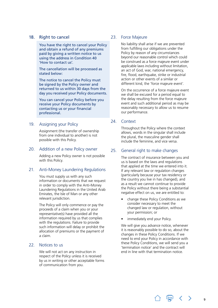#### <span id="page-8-0"></span>18. Right to cancel

You have the right to cancel your Policy and obtain a refund of any premiums paid by giving a written notice to us using the address in Condition 40 'How to contact us'.

The cancellation will be processed as stated below:

The notice to cancel the Policy must be signed by the Policy owner and returned to us within 30 days from the day you received your Policy documents.

You can cancel your Policy before you receive your Policy documents by contacting us or your financial professional.

#### 19. Assigning your Policy

Assignment (the transfer of ownership from one individual to another) is not possible with this Policy.

#### 20. Addition of a new Policy owner

Adding a new Policy owner is not possible with this Policy.

#### 21. Anti-Money Laundering Regulations

You must supply us with any such information or documents that we request in order to comply with the Anti-Money Laundering Regulations in the United Arab Emirates, the Isle of Man or any other relevant jurisdiction.

The Policy will only commence or pay the proceeds of a claim when you or your representative(s) have provided all the information required by us that complies with the regulations. Failure to provide such information will delay or prohibit the allocation of premiums or the payment of a claim.

#### 22. Notices to us

We will not act on any instruction in respect of the Policy unless it is received by us in writing or other acceptable forms of communication from you.

#### 23. Force Majeure

No liability shall arise if we are prevented from fulfilling our obligations under the Policy by reason of any circumstances beyond our reasonable control which could be construed as a force majeure event under applicable laws including without limitation, an act of God, war, national emergency, fire, flood, earthquake, strike or industrial action or other events of a similar or different kind, the 'force majeure event'.

On the occurrence of a force majeure event we shall be excused for a period equal to the delay resulting from the force majeure event and such additional period as may be reasonably necessary to allow us to resume our performance.

#### 24. Context

Throughout the Policy where the context allows, words in the singular shall include the plural, the masculine gender shall include the feminine, and vice versa.

#### 25. General right to make changes

The contract of insurance between you and us is based on the laws and regulations that applied at the time we entered into it. If any relevant law or regulation changes (particularly because your tax residency or the country you live in has changed), and as a result we cannot continue to provide the Policy without there being a substantial negative effect on us, we are entitled to:

- change these Policy Conditions as we consider necessary to meet the changed law or regulation, without your permission; or
- immediately end your Policy.

We will give you advance notice, whenever it is reasonably possible to do so, about the changes in these Policy Conditions. If we need to end your Policy in accordance with these Policy Conditions, we will send you a 'termination notice' and the contract will end in line with that termination notice.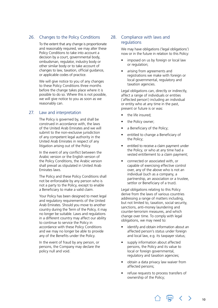#### <span id="page-9-0"></span>26. Changes to the Policy Conditions

To the extent that any change is proportionate and reasonably required, we may alter these Policy Conditions to take into account a decision by a court, governmental body, ombudsman, regulator, industry body or other similar body or to take account of changes to law, taxation, official guidance, or applicable codes of practice.

We will give notice to you of any changes to these Policy Conditions three months before the change takes place where it is possible to do so. Where this is not possible, we will give notice to you as soon as we reasonably can.

#### 27. Law and interpretation

The Policy is governed by, and shall be construed in accordance with, the laws of the United Arab Emirates and we will submit to the non-exclusive jurisdiction of any competent legal authority in the United Arab Emirates in respect of any litigation arising out of the Policy.

In the event of any conflict between the Arabic version or the English version of the Policy Conditions, the Arabic version shall prevail as stipulated in United Arab Emirates laws.

The Policy and these Policy Conditions shall not be enforceable by any person who is not a party to the Policy, except to enable a Beneficiary to make a valid claim.

Your Policy has been designed to meet legal and regulatory requirements of the United Arab Emirates. Should you move to another country during the Term of the Policy, it may no longer be suitable. Laws and regulations in a different country may affect our ability to continue to service the Policy in accordance with these Policy Conditions and we may no longer be able to provide any of the Benefits under the Policy.

In the event of fraud by any person, or persons, the Company may declare the policy null and void.

#### 28. Compliance with laws and regulations

We may have obligations ('legal obligations') now or in the future in relation to this Policy:

- imposed on us by foreign or local law or regulation;
- arising from agreements and registrations we make with foreign or local governmental, regulatory and taxation agencies.

Legal obligations can, directly or indirectly, affect a range of individuals or entities (`affected person`) including an individual or entity who at any time in the past, present or future is or was:

- the life insured:
- the Policy owner;
- a Beneficiary of the Policy;
- entitled to change a Beneficiary of the Policy;
- entitled to receive a claim payment under the Policy, or who at any time had a vested entitlement to a claim payment;
- connected or associated with, or capable of exercising effective control over, any of the above who is not an individual (such as a company, a partnership, an association or a trustee, settlor or Beneficiary of a trust).

Legal obligations relating to this Policy derive from the laws of various countries addressing a range of matters including, but not limited to, taxation, social security, sanctions, anti-money laundering and counter-terrorism measures, and which change over time. To comply with legal obligations, we may need to:

- identify and obtain information about an affected person's status under foreign and local law, e.g. its taxpayer status;
- supply information about affected persons, the Policy and its value to local or foreign governmental, regulatory and taxation agencies;
- obtain a data privacy law waiver from affected persons;
- refuse requests to process transfers of ownership of the Policy;

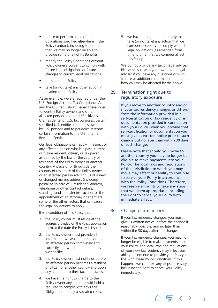- <span id="page-10-0"></span>• refuse to perform some of our obligations specified elsewhere in the Policy contract, including to the point that we may no longer be able to provide some or all of its Benefits;
- modify the Policy Conditions without Policy owner's consent to comply with future legal obligations or future changes to current legal obligations;
- terminate the Policy;
- take (or not take) any other action in relation to the Policy.

As an example, we are required under the U.S. Foreign Account Tax Compliance Act and the U.S. regulations issued thereunder to identify Policy owners and other affected persons that are U.S. citizens, U.S. residents for U.S. tax purposes, certain specified U.S. entities or entities owned by U.S. persons and to periodically report certain information to the U.S. Internal Revenue Service.

Our legal obligations can apply in respect of any affected person who is a past, current or future resident, citizen, or tax payer as defined by the law of the country of residence of the Policy owner or another country. A place of birth outside the country of residence of the Policy owner or an affected person advising us of a new or changed mailing address (including postal or 'in care of`), residential address, telephone or other contact details, standing funds transfer instruction, or the appointment of an attorney or agent are some of the other factors that can cause the legal obligations to apply.

It is a condition of this Policy that:

- 1. the Policy owner must reside at the address provided on the Policy application form at the date the Policy is issued;
- 2. the Policy owner must provide all information we ask for in relation to an affected person completely and correctly and within the timeframes we specify;
- 3. the Policy owner must notify us before an affected person becomes a resident or citizen of another country and upon any alteration to their taxation status;
- 4. we have the right to charge to the Policy owner any amounts withheld as required to comply with any Legal Obligation and any associated costs;

5. we have the right and authority to take (or not take) any action that we consider necessary to comply with all legal obligations (as amended from time to time) that we consider affect this Policy.

We do not provide any tax or legal advice. Please consult with your own tax or legal adviser if you have any questions or wish to receive additional information about how you may be affected by the above.

#### 29. Termination right due to regulatory exposure

If you move to another country and/or if your tax residency changes or differs from the information provided in a self-certification of tax residency or in documentation provided in connection with your Policy, when you provide that self-certification or documentation you must give us written notice prior to such change but no later than within 30 days of such change.

Please note that should you move to another country you may no longer be eligible to make payments into your Policy. The local laws and regulations of the jurisdiction to which you may move may affect our ability to continue to service your Policy in accordance with the Policy Conditions. Therefore, we reserve all rights to take any steps that we deem appropriate, including the right to cancel your Policy with immediate effect.

#### 30. Changing tax residency

If your tax residency changes, you must give us written notice, before the change if reasonably possible, and no later than within the 30 days after the change.

If your tax residency changes, you may no longer be eligible to make payments into your Policy. The local laws and regulations of your new tax residency may affect our ability to continue to provide your Policy in line with these Policy Conditions. If this happens, we can take any steps necessary, including the right to cancel your Policy immediately.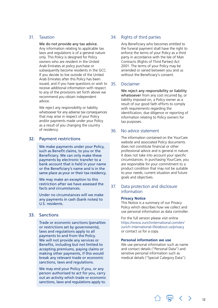#### <span id="page-11-0"></span>31. Taxation

We do not provide any tax advice. Any information relating to applicable tax laws and regulations is of a general nature only. This Policy is designed for Policy owners who are resident in the United Arab Emirates at policy purchase or subsequently become residents in the GCC. If you decide to live outside of the United Arab Emirates after this Policy has been issued, and if you have questions or wish to 35 receive additional information with respect to any of the provisions set forth above we recommend you obtain independent advice.

We reject any responsibility or liability whatsoever for any adverse tax consequences that may arise in respect of your Policy and/or payments made under your Policy as a result of you changing the country of residency.

#### 32. Payment restrictions

We make payments under your Policy, such as Benefit claims, to you or the Beneficiary. We can only make these payments by electronic transfer to a bank account that is held in your name or the Beneficiary's name and is in the same place as your or their tax residency.

We may make an exception to this restriction after we have assessed the facts and circumstances.

Under no circumstances will we make any payments in cash (bank notes) to U.S. residents.

#### 33. Sanctions

Trade or economic sanctions (penalties or restrictions set by governments), laws and regulations apply to all payments to and from the Policy. We will not provide any services or Benefits, including but not limited to accepting premiums, paying claims or making other payments, if this would break any relevant trade or economic sanctions, laws and regulations.

We may end your Policy if you, or any person authorised to act for you, carry out an activity which trade or economic sanctions, laws and regulations apply to.

#### 34. Rights of third parties

Any Beneficiary who becomes entitled to the funeral payment shall have the right to enforce the terms of your Policy as a third party in accordance with the Isle of Man Contracts (Rights of Third Parties) Act 2001. The terms of your Policy may be amended or varied between you and us without the Beneficiary's consent.

#### **Disclaimer**

We reject any responsibility or liability whatsoever from any cost incurred by, or liability imposed on, a Policy owner as a result of our good faith efforts to comply with requirements regarding the identification, due diligence or reporting of information relating to Policy owners for tax purposes.

#### 36. No advice statement

The information contained on the YourCare website and associated Policy documents does not constitute financial or other professional advice and is general in nature. It does not take into account your specific circumstances. In purchasing YourCare, you are responsible for your commitment to a product condition that may not be suitable to your needs, current situation and future goals and objectives.

#### 37. Data protection and disclosure information

#### **Privacy Notice**

This Notice is a summary of our Privacy Policy which describes how we collect and use personal information as data controller.

For the full version please visit online [https://www.zurichinternational.com/en/](https://www.zurichinternational.com/en/zurich-international-life/about-us/privacy) [zurich-international-life/about-us/privacy](https://www.zurichinternational.com/en/zurich-international-life/about-us/privacy)  or contact us for a copy.

#### **Personal information we use**

We use personal information such as name and contact details ("Personal Data") and sensitive personal information such as medical details ("Special Category Data").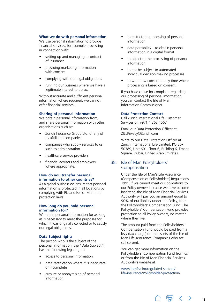#### <span id="page-12-0"></span>**What we do with personal information**

We use personal information to provide financial services, for example processing in connection with:

- setting up and managing a contract of insurance
- providing marketing information with consent
- complying with our legal obligations
- running our business where we have a legitimate interest to do so.

Without accurate and sufficient personal information where required, we cannot offer financial services.

#### **Sharing of personal information**

We obtain personal information from, and share personal information with other organisations such as:

- Zurich Insurance Group Ltd. or any of its affiliated companies
- companies who supply services to us such as administration
- healthcare service providers
- financial advisors and employers where appropriate.

#### **How do you transfer personal information to other countries?**

As a global business we ensure that personal information is protected in all locations by complying with EU and Isle of Man data protection laws.

#### **How long do you hold personal information for?**

We retain personal information for as long as is necessary to meet the purposes for which it was originally collected or to satisfy our legal obligations.

#### **Data Subject rights**

The person who is the subject of the personal information (the "Data Subject") has the following legal rights:

- access to personal information
- data rectification where it is inaccurate or incomplete
- erasure or anonymising of personal information
- to restrict the processing of personal information
- data portability to obtain personal information in a digital format
- to object to the processing of personal information
- to not be subject to automated individual decision making processes
- to withdraw consent at any time where processing is based on consent.

If you have cause for complaint regarding our processing of personal information, you can contact the Isle of Man Information Commissioner.

#### **Data Protection Contact**

Call Zurich International Life Customer Services on +971 4 363 4567

Email our Data Protection Officer at [ZILLPrivacy@Zurich.com](mailto:ZILLPrivacy%40Zurich.com?subject=)

Write to our Data Protection Officer at Zurich International Life Limited, PO Box 50389, Unit 601, Floor 6, Building 6, Emaar Square, Dubai, United Arab Emirates.

#### 38. Isle of Man Policyholders' Compensation

Under the Isle of Man's Life Assurance (Compensation of Policyholders) Regulations 1991, if we cannot meet our obligations to our Policy owners because we have become insolvent, the Isle of Man Financial Services Authority will pay you an amount equal to 90% of our liability under the Policy, from the Policyholders' Compensation Fund. The Policyholders' Compensation Fund provides protection to all Policy owners, no matter where they live.

The amount paid from the Policyholders' Compensation Fund would be paid from a levy (tax charge) on the assets of the Isle of Man Life Assurance Companies who are still solvent.

You can get more information on the Policyholders' Compensation Fund from us or from the Isle of Man Financial Services Authority's website at

[www.iomfsa.im/regulated-sectors/](http://www.iomfsa.im/regulated-sectors/life-insurance/Policyholder-protection/) [life-insurance/Policyholder-protection/](http://www.iomfsa.im/regulated-sectors/life-insurance/Policyholder-protection/)

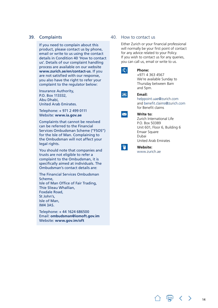#### <span id="page-13-0"></span>39. Complaints

If you need to complain about this product, please contact us by phone, email or write to us using the contact details in Condition 40 'How to contact us'. Details of our complaint handling process are available on our website **[www.zurich.ae/en/contact-us](http://www.zurich.ae/en/contact-us)**. If you are not satisfied with our response, you also have the right to refer your complaint to the regulator below:

Insurance Authority, P.O. Box 113332, Abu Dhabi, United Arab Emirates.

Telephone: + 971 2 499 0111 Website: **[www.ia.gov.ae](http://www.ia.gov.ae)**

Complaints that cannot be resolved can be referred to the Financial Services Ombudsman Scheme ("FSOS") for the Isle of Man. Complaining to the Ombudsman will not affect your legal rights.

You should note that companies and trusts are not eligible to refer a complaint to the Ombudsman, it is specifically aimed at individuals. The Ombudsman's contact details are:

The Financial Services Ombudsman Scheme, Isle of Man Office of Fair Trading, Thie Slieau Whallian, Foxdale Road, St John's, Isle of Man, IM4 3AS.

Telephone: + 44 1624 686500 Email: **[ombudsman@iomoft.gov.im](mailto:ombudsman%40iomoft.gov.im?subject=)** Website: **[www.gov.im/oft](http://www.gov.im/oft)**

#### 40. How to contact us

Either Zurich or your financial professional will normally be your first point of contact for any advice related to your Policy. If you wish to contact us for any queries, you can call us, email or write to us.

#### **Phone:**

+971 4 363 4567 We're available Sunday to Thursday between 8am and 5pm.



#### **Email:**

[helppoint.uae@zurich.com](mailto:helppoint.uae%40zurich.com?subject=) and [benefit.claims@zurich.com](mailto:benefit.claims%40zurich.com?subject=) for Benefit claims



#### **Write to:**

Zurich International Life P.O. Box 50389 Unit 601, Floor 6, Building 6 Emaar Square Dubai United Arab Emirates



**Website:**  [www.zurich.ae](http://www.zurich.ae)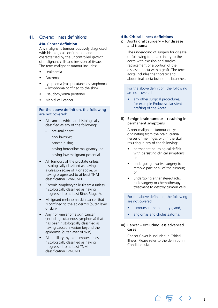#### <span id="page-14-0"></span>41. Covered Illness definitions

#### **41a. Cancer definition**

Any malignant tumour positively diagnosed with histological confirmation and characterised by the uncontrolled growth of malignant cells and invasion of tissue. The term malignant tumour includes:

- Leukaemia
- **Sarcoma**
- Lymphoma (except cutaneous lymphoma – lymphoma confined to the skin)
- Pseudomyxoma peritonei
- Merkel cell cancer

#### For the above definition, the following are not covered:

- All cancers which are histologically classified as any of the following:
	- pre-malignant;
	- non-invasive;
	- cancer in situ;
	- having borderline malignancy; or
	- having low malignant potential.
- All Tumours of the prostate unless histologically classified as having a Gleason score of 7 or above, or having progressed to at least TNM classification T2bN0M0.
- Chronic lymphocytic leukaemia unless histologically classified as having progressed to at least Binet Stage A.
- Malignant melanoma skin cancer that is confined to the epidermis (outer layer of skin).
- Any non-melanoma skin cancer (including cutaneous lymphoma) that has been histologically classified as having caused invasion beyond the epidermis (outer layer of skin).
- All papillary thyroid tumours unless histologically classified as having progressed to at least TNM classification T2N0M0.

#### **41b. Critical Illness definitions**

#### i) Aorta graft surgery – for disease and trauma

The undergoing of surgery for disease or following traumatic injury to the aorta with excision and surgical replacement of a portion of the diseased aorta with a graft. The term aorta includes the thoracic and abdominal aorta but not its branches.

For the above definition, the following are not covered:

- any other surgical procedures, for example Endovascular stent grafting of the Aorta.
- ii) Benign brain tumour resulting in permanent symptoms

A non-malignant tumour or cyst originating from the brain, cranial nerves or meninges within the skull, resulting in any of the following:

- permanent neurological deficit with persisting clinical symptoms; or
- undergoing invasive surgery to remove part or all of the tumour; or
- undergoing either stereotactic radiosurgery or chemotherapy treatment to destroy tumour cells.

For the above definition, the following are not covered:

- tumours in the pituitary gland,
- angiomas and cholesteatoma.
- iii) Cancer excluding less advanced cases

Cancer Cover is included in Critical Illness. Please refer to the definition in Condition 41a.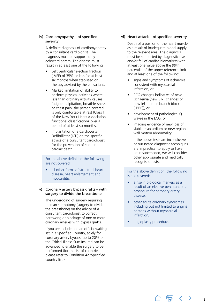#### iv) Cardiomyopathy – of specified severity

A definite diagnosis of cardiomyopathy by a consultant cardiologist. The diagnosis must be supported by echocardiogram. The disease must result in at least one of the following:

- Left ventricular ejection fraction (LVEF) of 35% or less for at least six months when stabilised on therapy advised by the consultant.
- Marked limitation of ability to perform physical activities where less than ordinary activity causes fatigue, palpitation, breathlessness or chest pain, the person covered is only comfortable at rest (Class III of the New York Heart Association functional classification), over a period of at least six months.
- Implantation of a Cardioverter Defibrillator (ICD) on the specific advice of a consultant cardiologist for the prevention of sudden cardiac death.

For the above definition the following are not covered:

all other forms of structural heart disease, heart enlargement and myocarditis.

#### v) Coronary artery bypass grafts – with surgery to divide the breastbone

The undergoing of surgery requiring median sternotomy (surgery to divide the breastbone) on the advice of a consultant cardiologist to correct narrowing or blockage of one or more coronary arteries with bypass grafts.

If you are included on an official waiting list in a Specified Country, solely for coronary artery bypass, up to 20% of the Critical Illness Sum Insured can be advanced to enable the surgery to be performed (for the list of countries please refer to Condition 42 'Specified country list').

#### vi) Heart attack – of specified severity

Death of a portion of the heart muscle as a result of inadequate blood supply to the relevant area. The diagnosis must be supported by diagnostic rise and/or fall of cardiac biomarkers with at least one value above the 99th percentile of the upper reference limit and at least one of the following:

- signs and symptoms of ischaemia consistent with myocardial infarction, or
- ECG changes indicative of new ischaemia (new ST-T changes or new left bundle branch block [LBBB]), or
- development of pathological Q waves in the ECG, or
- imaging evidence of new loss of viable myocardium or new regional wall motion abnormality.

If the above tests are inconclusive or our noted diagnostic techniques are impractical to apply or have been superseded, we will consider other appropriate and medically recognised tests.

For the above definition, the following is not covered:

- a rise in biological markers as a result of an elective percutaneous procedure for coronary artery disease,
- other acute coronary syndromes including but not limited to angina pectoris without myocardial infarction,
- angioplasty procedure.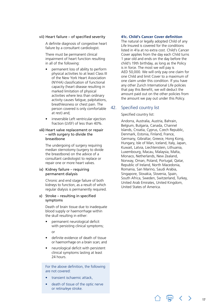#### <span id="page-16-0"></span>vii) Heart failure – of specified severity

A definite diagnosis of congestive heart failure by a consultant cardiologist.

There must be permanent clinical impairment of heart function resulting in all of the following:

- permanent loss of ability to perform physical activities to at least Class III of the New York Heart Association (NYHA) classification of functional capacity (heart disease resulting in marked limitation of physical activities where less than ordinary activity causes fatigue, palpitations, breathlessness or chest pain. The person covered is only comfortable at rest) and;
- irreversible Left ventricular ejection fraction (LVEF) of less than 40%.

#### viii) Heart valve replacement or repair – with surgery to divide the breastbone

The undergoing of surgery requiring median sternotomy (surgery to divide the breastbone) on the advice of a consultant cardiologist to replace or repair one or more heart valves.

#### ix) Kidney failure – requiring permanent dialysis

Chronic and end stage failure of both kidneys to function, as a result of which regular dialysis is permanently required.

#### x) Stroke – resulting in specified symptoms

Death of brain tissue due to inadequate blood supply or haemorrhage within the skull resulting in either:

• permanent neurological deficit with persisting clinical symptoms;

or

- definite evidence of death of tissue or haemorrhage on a brain scan; and
- neurological deficit with persistent clinical symptoms lasting at least 24 hours.

For the above definition, the following are not covered:

- transient ischaemic attack,
- death of tissue of the optic nerve or retina/eye stroke.

#### **41c. Child's Cancer Cover definition**

The natural or legally adopted Child of any Life Insured is covered for the conditions listed in 41a at no extra cost. Child's Cancer Cover applies from the day each Child turns 1 year old and ends on the day before the child's 19th birthday, as long as the Policy is in force. The most we will pay is AED 50,000. We will only pay one claim for one Child and limit Cover to a maximum of one claim under this condition. If you have any other Zurich International Life policies that pay this Benefit, we will deduct the amount paid out on the other policies from the amount we pay out under this Policy.

#### 42. Specified country list

#### Specified country list:

Andorra, Australia, Austria, Bahrain, Belgium, Bulgaria, Canada, Channel Islands, Croatia, Cyprus, Czech Republic, Denmark, Estonia, Finland, France, Germany, Gibraltar, Greece, Hong Kong, Hungary, Isle of Man, Iceland, Italy, Japan, Kuwait, Latvia, Liechtenstein, Lithuania, Luxembourg, Macau, Malaysia, Malta, Monaco, Netherlands, New Zealand, Norway, Oman, Poland, Portugal, Qatar, Republic of Ireland, North Macedonia, Romania, San Marino, Saudi Arabia, Singapore, Slovakia, Slovenia, Spain, South Africa, Sweden, Switzerland, Turkey, United Arab Emirates, United Kingdom, United States of America.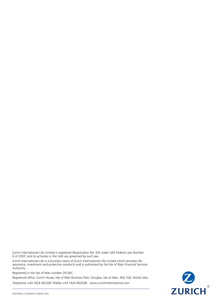Zurich International Life Limited is registered (Registration No. 63) under UAE Federal Law Number 6 of 2007, and its activities in the UAE are governed by such law.

Zurich International Life is a business name of Zurich International Life Limited which provides life assurance, investment and protection products and is authorised by the Isle of Man Financial Services Authority.

Registered in the Isle of Man number 20126C.

Registered office: Zurich House, Isle of Man Business Park, Douglas, Isle of Man, IM2 2QZ, British Isles.

Telephone +44 1624 662266 Telefax +44 1624 662038 [www.zurichinternational.com](http://www.zurichinternational.com)

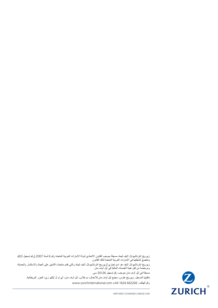زيوريخ انترناشيونال لايف ليمتد مسجلة بموجب القانون الاتحادي لدولة الإمارات العربية المتحدة رقم 6 لسنة 2007 (رقم تسجيل 63)، وتخضع أنشطتها في اإلمارات العربية المتحدة لذلك القانون.

زيوريخ انترناشيونال اليف هو اسم تجاري لزيوريخ انترناشيونال اليف ليمتد والتي تقدم منتجات التأمين على الحياة واالستثمار والحماية، ومرخصة من قبل هيئة الخدمات المالية في آيل أوف مان.

مسجلة في آيل أوف مان بموجب رقم تسجيل 20126 سي.

مكتبها المسجل: زيوريخ هاوس، مجمع آيل أوف مان لألعمال، دوغالس، آيل أوف مان، آي إم 2 2كيو زي، الجزر البريطانية.

[www.zurichinternational.com](http://www.zurichinternational.com) +44 1624 662266 :



MSP13925 (722400001) (08/20) CMS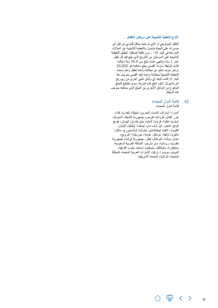#### **.**41**ج التغطية التأمينية على سرطان األطفال**

<span id="page-19-0"></span>الطفل البيولوجي أو الذي تم تبنيه بشكل قانوني من قبل أي مؤمن له على الحياة مشمول بالتغطية التأمينية عن الحاالت المدرجة في البند 41 أ - دون تكلفة إضافية. تنطبق التغطية التأمينية على السرطان من التاريخ الذي يبلغ فيه كل طفل عمر 1 سنة وتنتهي عندما يبلغ سن الـ 19 سنة، طالما كانت الوثيقة سارية. أقصى مبلغ سندفعه هو 50,000 درهم. سوف ندفع عن مطالبة واحدة لطفل واحد ونحدد التغطية التأمينية بمطالبة واحدة كحد أقصى بموجب هذا البند. إذا كانت لديك أي وثائق تأمين أخرى من زيوريخ انترناشيونال اليف تدفع هذه المزية، سوف نقتطع المبلغ المدفوع من الوثائق األخرى من المبلغ الذي سندفعه بموجب هذه الوثيقة.

## .42 قائمة الدول المحددة

قائمة الدول المحددة:

أندورا، أستراليا، النمسا، البحرين، بلجيكا، بلغاريا، كندا، جزر القنال، كرواتيا، قبرص، جمهورية التشيك، الدنمرك، استونيا، فنلندا، فرنسا، ألمانيا، جبل طارق، اليونان، هونج كونج، المجر، أيل أوف مان، أيسلندا، إيطاليا، اليابان، الكويت، التفيا، ليختنشتاين، ليتوانيا، لوكسمبورج، ماكاو، ماليزيا، مالطا، موناكو، هولندا، نيوزيلندا، النرويج، عمان، بولندا، البرتغال، قطر، جمهورية أيرلندا، جمهورية مقدونيا، رومانيا، سان مارينو، المملكة العربية السعودية، سنغافورة، سلوفاكيا، سلوفينيا، اسبانيا، جنوب أفريقيا، السويد، سويسرا، تركيا، اإلمارات العربية المتحدة، المملكة المتحدة، الواليات المتحدة األمريكية.

△ 冐 く 〉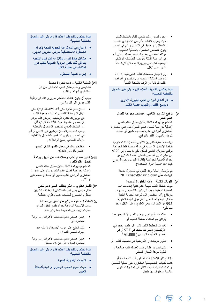- وجود قصور ملحوظ في القيام بالنشاط البدني • حيث يسبب النشاط الأقل من الاعتيادي التعب، والخفقان، أو ضيق في التنفس أو ألم في الصدر. يكون الشخص المشمول بالتغطية التأمينية مرتاحا فقط في وضع الراحة )مصنف على أنه في المرحلة الثالثة بموجب التصنيف الوظيفي لجمعية القلب في نيويورك)، خلال فترة ستة أشهر على الأقل.
	- زرع جهاز صدمات القلب الكهربائية )ICD ) • بموجب استشارة محددة من استشاري أمراض القلب للوقاية من الوفاة بالسكتة القلبية.

**فيما يختص بالتعريف أعاله، فإن ما يلي غير مشمول بالتغطية التأمينية:**

- **كل أشكال أمراض القلب البنيوية األخرى، وتوسع القلب، والتهاب عضلة القلب.**
- **ترقيع الشريان التاجي– مصاحب بجراحة لفصل**  ) v **عظم القص**

الخضوع لجراحة تتطلب شق بطول عظم القص )عملية جراحية لفصل عظم القص( بناء على استشارة استشاري أمراض القلب لتصحيح ضيق أو انسداد شريان تاجي أو أكثر بالترقيع.

ً وبالنسبة لعملية الشريان التاجي فقط، إذا كنت مدرجا بقائمة االنتظار الرسمية في دولة محددة فقط لجراحة ترقيع الشريان التاجي فيمكن دفع ما يصل إلى %20 من مبلغ تأمين المرض الخطير مقدما للتمكين من إجراء العملية الجراحية (لقائمة الدول يرجى الرجوع للبند 42 "قائمة الدول المحددة"(.

قم بإرسال رسالة بريد إلكتروني لمسؤول حماية ZILLPrivacy@Zurich.com على البيانات

- **النوبات القلبية ذات الخطورة المحددة** )vi موت عضلة القلب نتيجة عدم كفاية إمدادات الدم للمنطقة المعنية. يجب أن يكون التشخيص مدعوما بارتفاع و/أو انخفاض المؤشرات الحيوية القلبية بمقدار قيمة واحدة على األقل فوق القيمة المئوية الـ99 من الحد المرجعي العلوي وعلى األقل واحد مما يلي:
- علامات وأعراض مرض نقص الأوكسجين بما • يتوافق مع احتشاء عضلة القلب، أو
- تغيرات تخطيط القلب تشير إلى نقص جديد في األوكسجين )تغيرات جديدة في T-ST أو في حْصــار الحُزَيمَة اليسرى ([LBBB])؛ أو إِ
- المرضية في تخطيط القلب؛ أو تطور موجات Q •
- دليل تصوير فقدان جديد لعضلة قلب صالحة أو • شذوذ حركة الجدار المحلي.

وإذا لم تكن االختبارات المذكورة أعاله حاسمة أو كانت تقنياتنا التشخيصية المذكورة غير عملية للتطبيق أو تم استبدالها، فسوف ننظر في اختبارات أخرى مناسبة ومعترف بها طبيا.

**فيما يختص بالتعريف أعاله، فإن ما يلي غير مشمول بالتغطية التأمينية:**

- **ارتفاع في المؤشرات الحيوية نتيجة إلجراء القسطرة االستكشافية لمرض الشريان التاجي،**
- **مشاكل حادة أخرى لمتالزمة الشرايين التاجية بما في ذلك نقص التروية الدموية للقلب دون احتشاء في عضلة القلب،**
	- **إجراء عملية القسطرة.** •

vii )**السكتة القلبية – ذات خطورة محددة** تشخيص واضح لفشل القلب االحتقاني من قبل استشاري أمراض القلب.

يجب أن يكون هنالك انخفاض سريري دائم في وظيفة القلب يؤدي إلى كل ما يلي:

- فقدان دائم للقدرة على أداء الأنشطة البدنية على • األقل الدرجة الثالثة من تصنيف جمعية القلب في نيويورك للقدرة الوظيفية )مرض قلب يؤدي إلى قصور ملحوظ حيث األنشطة البدنية أقل من النشاط العادي للشخص المشمول بالتغطية يسبب التعب، والخفقان، وضيق في التنفس أو ألم في الصدر. ويكون الشخص المشمول بالتغطية مرتاحا فقط في وضع الراحة)؛ و
	- انخفاض دائم في معدل الكسر القذفي للبطين • الأيسر بأقل من 40%.

#### viii )**تغيير صمام القلب وإصالحه - عن طريق جراحة لفصل عظم القص**

الخضوع لجراحة تتطلب شق بطول عظم القص )عملية جراحية فصل عظم القص( بناء على مشورة استشاري أمراض القلب لتغيير أو إصالح صمام قلبي أو أكثر.

- ix )**الفشل الكلوي الذي يتطلب غسيل دائم للكلى** فشل مزمن وفي المرحلة الأخيرة لوظائف الكليتين يستلزم الخضوع لجلسات غسيل كلوي منتظمة.
	- ( **السكتة الدماغية ينتج عنها أعراض محددة** x موت الأنسجة الدماغية جراء نقص تدفق الدم أو حدوث نزيف في الجمجمة مما ينتج عنه:
- عجز عصبي دائم مصاحب لأعراض سريرية • مستمرة؛ أو
	- دليل قاطع على موت األنسجة ونزيف عند إجراء فحص الدماغ؛ و
- عجز عصبي دائم مصاحب لأعراض سريرية • مستمرة لمدة ال تقل عن 24 ساعة.

**فيما يختص بالتعريف أعاله، فإن ما يلي غير مشمول بالتغطية التأمينية:**

- **النوبات اإلقفارية العابرة** •
- **موت نسيج العصب البصري أو شبكية/سكتة العين.**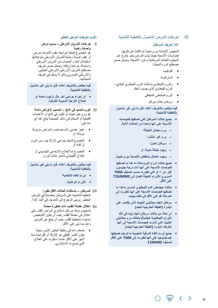#### .41 تعريفات المرض المشمول بالتغطية التأمينية

#### .41**أ تعريف السرطان**

تشخيص اإلصابة بورم خبيث تم تأكيده عن طريق فحوصات األنسجة حينما يتسم المرض بنمو خارج عن السيطرة للخاليا السرطانية وغزو األنسجة. ويدخل ضمن مصطلح الورم الخبيث:

- اللوكيميا
- الساركومة
- والورم الليمفاوي باستثناء الورم الليمفاوي الجلدي الورم الليمفاوي الذي يصيب الجلد.
	- الورم المخاطي الصفاقي
		- سرطان خاليا ميركل

**فيما يختص بالتعريف أعاله، فإن ما يلي غير مشمول بالتغطية التأمينية:**

- **جميع حاالت السرطان التي تصنفها فحوصات األنسجة على أنها واحدة من الحاالت اآلتية.**
	- **– ورم محتمل الخباثة؛**
		- **– ورم غير منتشر؛**
			- **– سرطان كامن؛**
	- **– وجود خباثة حدية؛ أو**
- **– وجود احتمال منخفض لإلصابة بورم خبيث.**
- **جميع حاالت أورام البروستاتا ما عدا ما تصنفها فحوصات األنسجة على أنها ذات درجة جليسون أكبر من 7 أو التي تطورت حسب تصنيف TNM السريري لألورام الخبيثة لتصل إلى 0M0bN2T على األقل.**
	- **حاالت ابيضاض الدم الليمفاوي المزمن ماعدا ما تصنفها فحوصات األنسجة على أنها تطورت إلى المرحلة A على األقل في نظام بينيت.**
	- **سرطان الجلد ميالنيني الخبيث الذي يقتصر على البشرة )الطبقة الخارجية للجلد(.**
	- **أي حالة من حاالت سرطان الجلد )بما في ذلك**  الأورام الليمفاوية ال**جلدية) بخلاف** ورم ميلانين*ي* **الخبيث التي أشارت فحوصات األنسجة إلى أنها اخترقت البشرة )الطبقة الخارجية للجلد(.**
- **جميع أورام الغدة الدرقية الحليمية ما لم يتم تصنيفها هيستولوجيا على أنها تطورت إلى TNM على األقل .T2N0M0 تصنيف**

#### .41**ب تعريفات المرض الخطير**

<span id="page-21-0"></span>i )**جراحات الشريان األورطي – بسبب مرض وإصابة رضية**

هو الخضوع لعملية جراحية عقب اإلصابة بمرض أو عقب إصابة رضّية للشريان الأورطي يتم خلالها استئصال الجزء المصاب من الشريان األورطي ً واستبداله جراحيا برقعة. ويدخل ضمن تعريف مصطلح الشريان الأورطي الأورطي البطيني والأورطي الصدري ولكن لا يدخل في تعريفه تشعباتهما.

**فيما يختص بالتعريف أعاله، فإن ما يلي غير مشمول بالتغطية التأمينية:**

- **أي إجراء جراحي آخر مثل تركيب دعامة أو إصالح األوعية الدموية الطرفية.**
- ii )**الورم الحميد في المخ المسبب ألعراض دائمة** هو ورم غير خبيث أو تكيس في المخ أو األعصاب القحفية أو السحايا في داخل الجمجمة ينتج عنه أي مما يلي:
- عجز عصبي دائم مصاحب بأعراض سريرية مزمنة؛ أو
- الخضوع لتدخل جراحي إلزالة جزء من الورم أو كله؛ أو
	- الخضوع إما للعالج اإلشعاعي التجسيمي أو العالج الكيميائي لتدمير خاليا الورم.

**فيما يختص بالتعريف أعاله، فإن ما يلي غير مشمول بالتغطية التأمينية:**

- **أورام الغدة النخامية،**
	- **األورام الوعائية.**
- iii )**السرطان باستثناء الحاالت األقل تطورا** التغطية التأمينية على السرطان متضمنة في المرض الخطير. يرجى الرجوع إلى التعريف في البند 41 أ.
- iv )**اعتالل عضلة القلب- ذات خطورة محددة** تشخيص مؤكد من قبل استشاري أمراض القلب على اعتالل في عضلة القلب. يجب أن يكون التشخيص مدعوما بتخطيط القلب. يجب أن ينتج عن المرض واحد مما يلمي علمي الأقل:
- ضعف دائم في وظيفة البطين األيسر بحيث يكون الكسر القذفي هو %35 أو أقل لمدة ستة أشهر على الأقل عندما استقرت على العلاج الذي نصح به االستشاري.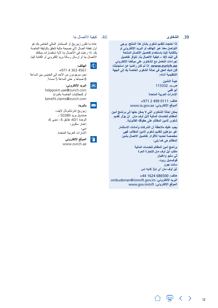#### .39 **الشكاوى**

**إذا احتجت لتقديم شكوى بشأن هذا المنتج، يرجى التواصل معنا عبر الهاتف أو البريد اإللكتروني أو بالكتابة إلينا باستخدام تفاصيل االتصال المتاحة في البند** 40 **– كيفية االتصال بنا. تتوفر تفاصيل إجراءات التعامل مع الشكاوى على موقعنا اإللكتروني ae.zurich.www. إذا لم تكن راضيا عن استجابتنا، فإن لديك الحق في إحالة الشكوى الخاصة بك إلى الجهة التنظيمية أدناه:**

> **هيئة التأمين ص.ب.** 113332 **أبو ظبي اإلمارات العربية المتحدة**

**هاتف:** 0111 499 2 +971 www.ia.gov.ae **:اإللكتروني الموقع**

**يمكن إحالة الشكاوى التي ال يمكن حلها إلى برنامج أمين المظالم للخدمات المالية آليل أوف مان. لن يؤثر تقديم شكوى ألمين المظالم على حقوقك القانونية.**

> **يجب عليك مالحظة أن الشركات وأمانات االستثمار غير مؤهلين لتقديم شكوى ألمين المظالم، فهي مخصصة تحديدا لألفراد. تفاصيل االتصال بأمين المظالم هي كما يلي:**

> > **برنامج أمين المظالم للخدمات المالية مكتب آيل أوف مان للتجارة الحرة ثي سليو واهليان فوكسديل روود، سانت جون آيل أوف مان آي إم**3 4**ايه إس**

**هاتف:** 686500 1624 +44 ombudsman@iomoft.gov.im **:اإللكتروني البريد** www.gov.im/oft **:اإللكتروني الموقع**

#### .40 كيفية االتصال بنا

<span id="page-22-0"></span>عادة ما تكون زيوريخ أو المستشار المالي الخاص بك هو أول نقطة اتصال ألي نصيحة مالية تتعلق بالوثيقة الخاصة بك. إذا رغبت في الاتصال بنا لأية استفسارات يمكنك االتصال بنا أو إرسال رسالة بريد إلكتروني أو الكتابة إلينا.

## $\mathcal{L}$

#### **الهاتف:**

+971 4 363 4567 نحن موجودون من األحد إلى الخميس بين الساعة 8 صباحًا و حتى الساعة 5 مساءاً.

## $\boxed{\blacksquare}$

 **البريد اإللكتروني:** [helppoint.uae@zurich.com](mailtohelppoint.uae@zurich.com) أو للمطالبات الخاصة بالمزايا [benefit.claims@zurich.com](mailto:benefit.claims%40zurich.com?subject=)

#### **بالبريد:**  $\overline{\mathbf{M}}$

زيوريخ انترناشونال اليف، صندوق بريد 50389 ، الوحدة ،601 طابق 6 ، مبنى ،6 إعمار سكوير، دبي،

اإلمارات العربية المتحدة.

## $\sqrt{1}$

**الموقع اإللكتروني**: www.[zurich.ae](http://zurich.ae)

 $\mathbb{F}$  < >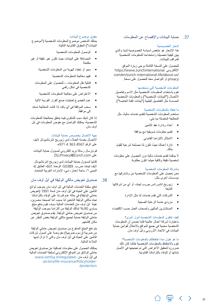#### 37. حماية البيانات والإفصاح عن المعلومات

#### إشعار الخصوصية

هذا اإلشعار هو ملخص لسياسة الخصوصية لدينا والذي يبين كيفية تحصيلنا واستخدامنا للمعلومات الشخصية كمراقب للبيانات.

للحصول على النسخة الكاملة يرجى زيارة الموقع https://www.zurichinternational. اإللكتروني com/en/zurich-international-life/about-us/ privacy أو التواصل معنا للحصول على نسخة.

#### المعلومات الشخصية التي نستخدمها

نقوم باستخدام المعلومات الشخصية مثل االسم وتفاصيل االتصال )"البيانات الشخصية"( والمعلومات الشخصية الحساسة مثل التفاصيل الطبية ("بيانات الفئة الخاصة").

#### ما نفعله بالمعلومات الشخصية

نستخدم المعلومات الشخصية لتقديم خدمات مالية، مثل المعالجة المتصلة بما يلي:

- إعداد وإدارة عقد التأمين
- تقديم معلومات تسويقية مع موافقة
	- االمتثال اللتزامنا القانوني
- إدارة أعمالنا حيث تكون لنا مصلحة شرعية للقيام بذلك.

ال يمكننا تقديم خدمات مالية دون الحصول على معلومات شخصية دقيقة وكافية حيثما تكون مطلوبة.

#### مشاركة المعلومات الشخصية

نحن نحصل على المعلومات الشخصية من ونشاركها مع مؤسسات أخرى مثل:

- زيوريخ انشورانس جروب ليمتد، أو أي من شركاتها التابعة
	- الشركات التي تقدم خدمات لنا مثل اإلدارة
		- مزودي خدمة الرعاية الصحية
- المستشارين الماليين وأصحاب العمل حسب االقتضاء

### كيف تنقلون المعلومات الشخصية لدول أخرى؟

باعتبارنا شركة أعمال عالمية فإننا نضمن أن المعلومات الشخصية محمية في جميع المواقع باالمتثال لقوانين حماية البيانات في االتحاد األوروبي وآيل أوف مان.

ما هو طول مدة احتفاظكم بالمعلومات الشخصية؟ نقوم باالحتفاظ بالمعلومات الشخصية طالما كان ذلك ضروريا لتحقيق الأغراض التي تم تجميعها في الأصل بشأنها أو للوفاء بالتزاماتنا القانونية.

#### حقوق موضوع البيانات

<span id="page-23-0"></span>يمتلك الشخص موضوع المعلومات الشخصية )"موضوع البيانات") الحقوق القانونية التالية:

- الوصول للمعلومات الشخصية
- المصادقة على البيانات حيث تكون غير دقيقة أو غير مكتملة
	- محو أو إخفاء الهوية من المعلومات الشخصية
		- تقييد معالجة المعلومات الشخصية
	- قابلية نقل المعلومات للحصول على المعلومات الشخصية في شكل رقمي
		- االعتراض على معالجة المعلومات الشخصية
	- عدم الخضوع لعمليات صنع القرار الفردية اآللية
- سحب الموافقة في أي وقت إذا كانت المعالجة تستند إلى موافقة.

إذا كان لديك سبب للشكوى فيما يتعلق بمعالجتنا للمعلومات الشخصية، يمكنك التواصل مع مفوض المعلومات في آيل أوف مان.

#### جهة االتصال بخصوص حماية البيانات

االتصال بخدمة العمالء لدى زيوريخ انترناشيونال اليف على الرقم 4567 363 4 +971

قم بإرسال رسالة بريد إلكتروني لمسؤول حماية البيانات ZILLPrivacy@Zurich.com على

كتابيا لمسؤول حماية البيانات لدى زيوريخ انترناشيونال لايف ليمتد، ص.ب. 50389، الوحدة 601، الطابق 6، المبنى ٦، ساحة إعمار، دبي، الإمارات العربية المتحدة.

### .38 صندوق تعويض مالكي الوثيقة في آيل أوف مان

تدفع سلطة الخدمات المالية في آيل أوف مان بموجب لوائح التأمين على الحياة في آيل أوف مان لسنة 1991 )تعويض حاملي الوثيقة) في حالة عدم قدرتنا على الوفاء بالتزاماتنا تجاه مالكي الوثيقة التابعين لنا بسبب أننا أصبحنا معسرين، هيئة آيل اوف مان للخدمات المالية سوف تقوم بدفع مبلغ يساوي %90 لمالك الوثيقة من التزامنا بموجب الوثيقة من صندوق تعويض حاملي الوثيقة. يقدم صندوق تعويض حاملي الوثيقة حماية لجميع مالكي الوثيقة بغض النظر عن مكان إقامتهم.

يتم دفع المبلغ المدفوع من صندوق تعويض حاملي الوثيقة من ضريبة (رسوم ضريبية) مفروضة على أصول شركات التأمين على الحياة في آيل أوف مان والتي ال تزال لديها المالءة المالية.

يمكنك الحصول على معلومات إضافية عن صندوق تعويض حاملي الوثائق من الموقع اإللكتروني لسلطة الخدمات المالية في آيل أوف مان -regulated/im.iomfsa.www sectors/life-insurance/Policyholder- /protection

 $\mathbb{F}$  <

 $\rightarrow$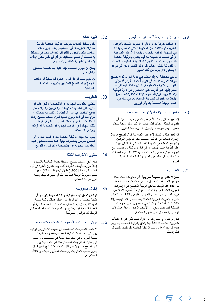.29 حق اإلنهاء نتيجة للتعرض التنظيمي

**إذا انتقلت لدولة أخرى و/أو إذا تغيرت إقامتك ألغراض الضريبة أو اختلفت عن المعلومات التي تم تقديمها لنا في الشهادة الذاتية الخاصة باإلقامة ألغراض الضريبة أو في مستند تم تقديمه لنا فيما يتصل بالوثيقة الخاصة بك، يجب عليك عند تقديم تلك الشهادة الذاتية أو المستند أن تقدم لنا إخطارا كتابيا قبل ذلك التغيير ولكن في موعد ال يتجاوز** 30 **يوما من ذلك التغيير.**

**يرجى مالحظة أنه إذا انتقلت إلى دولة أخرى قد ال تصبح مؤهال إلجراء دفعات في الوثيقة الخاصة بك. قد تؤثر القوانين واللوائح المحلية في الوالية القضائية التي قد تنتقل إليها على قدرتنا على االستمرار في إدارة الوثيقة وفقا لشروط الوثيقة. عليه، فإننا نحتفظ بكافة الحقوق التخاذ أية خطوات نعتبرها مناسبة، بما في ذلك حق إلغاء الوثيقة الخاصة بك بأثر فوري.**

30 . تغيير مكان الإقامة لأغراض الضريبة

إذا تغير مكان إقامتك ألغراض الضريبة يجب عليك أن تقدم لنا إخطارا كتابيا قبل التغيير إذا كان ذلك ممكنا بشكل معقول، وفي موعد ال يتجاوز 30 يوما بعد التغيير.

إذا تغير مكان إقامتك لأغراض الضريبة قد لا تصبح مؤهلا إلجراء دفعات في الوثيقة الخاصة بك. قد تؤثر القوانين واللوائح المحلية في الوالية القضائية التي قد تنتقل إليها على قدرتنا على االستمرار في إدارة الوثيقة بما يتماشى مع شروط الوثيقة هذه. إذا حدث هذا، يمكننا اتخاذ أية خطوات مناسبة، بما في ذلك حق إلغاء الوثيقة الخاصة بك بأثر فوري.

.31 الضرببة

 $\mathbb{F}$ 

**نحن ال نقدم أي نصيحة ضريبية.** أي معلومات ذات صلة بقوانين الضرائب المعمول بها هي ذات طبيعة عامة فقط. تم إعداد هذه الوثيقة لمالكي الوثيقة المقيمين في اإلمارات العربية المتحدة في وقت شراء الوثيقة أو أصبح الحقا مقيما في دولة من دول مجلس التعاون الخليجي. إذا قررت العيش خارج اإلمارات العربية المتحدة بعد إصدار هذه الوثيقة وإذا كانت لديك أسئلة أو رغبت في الحصول على معلومات إضافية فيما يتعلق بأي من الأحكام المذكورة آنفا أعلاه فإننا نوصي بالحصول على مشورة مستقلة.

نحن نرفض أي مسؤولية أو التزام مهما يكن عن أي تبعات ضريبية عكسية قد تنشأ فيما يتعلق بالوثيقة الخاصة بك و/أو دفعة تم إجراؤها بموجب الوثيقة الخاصة بك نتيجة لتغييرك لبلد إقامتك.

#### .32 **قيود الدفع**

<span id="page-24-0"></span>**نقوم بتنفيذ الدفعات بموجب الوثيقة الخاصة بك مثل مطالبات المزية لك أو للمستفيد. يمكننا إجراء هذه الدفعات فقط بالتحويل التلغرافي لحساب مصرفي محتفظ به باسمك أو باسم المستفيد الواقع في نفس مكان اإلقامة ألغراض الضريبة الخاص بك أو به.**

**يمكن أن نجري استثناء لهذا القيد بعد تقييمنا للحقائق والظروف.**

**لن نقوم تحت أي ظرف من الظروف بتنفيذ أي دفعات نقدية )أوراق نقدية( للمقيمين بالواليات المتحدة األمريكية.**

#### .33 **العقوبات**

**تنطبق العقوبات التجارية أو االقتصادية )الجزاءات أو القيود التي تضعها الحكومات( والقوانين واللوائح على جميع الدفعات في ومن الوثيقة. لن نقدم أية خدمات أو مزايا بما في ذلك ودون تحديد قبول أقساط التأمين ودفع المطالبات أو إجراء دفعات أخرى إذا كان في قيامنا بذلك انتهاك ألي عقوبات تجارية أو اقتصادية أو قوانين ولوائح ذات صلة.**

**يجوز لنا إنهاء الوثيقة الخاصة بك إذا قمت أنت أو أي شخص مفوض بالتصرف نيابة عنك بنشاط تنطبق عليه العقوبات التجارية أو االقتصادية والقوانين واللوائح.**

#### .34 حقوق الأطراف الثالثة

يحق لأي مستفيد يصبح مستحقا للدفعة الخاصة بالجنازة إنفاذ شروط الوثيقة كطرف ثالث وفقا لقانون العقود في آيل أوف مان لسنة 2001 (حقوق الأطراف الثالثة). يجوز تعديل شروط الوثيقة الخاصة بك أو تغييرها بينك وبيننا دون موافقة المستفيد.

#### .35 إخالء مسؤولية

**نرفض تحمل أي مسؤولية أو التزام مهما يكن** عن أي تكلفة تتكبدها أو التزام يفرض عليك كمالك وثيقة نتيجة لجهودنا بحسن نية لالمتثال للمتطلبات الخاصة بالهوية أو العناية الواجبة أو اإلبالغ عن المعلومات ذات الصلة بمالكي الوثيقة لألغراض الضريبية.

#### .36 بيان عدم اعتماد المعلومات المقدمة كنصيحة

ال تشكل المعلومات المتضمنة في الموقع اإللكتروني لوثيقة یور كير ومستندات الوثيقة المصاحبة نصيحة مالية أو مهنية أخرى وهي معلومات عامة في طبيعتها، وال تضع في اعتبارها ظروفك المحددة. عند شرائك لوثيقة یور كير تصبح مسؤوال عن التزامك بشرط المنتج الذي قد ال يكون مناسبا الحتياجك ووضعك الحالي وغاياتك وأهدافك المستقبلية.

 $\rightarrow$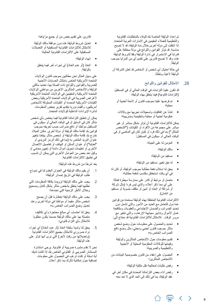تم إعداد الوثيقة الخاصة بك للوفاء بالمتطلبات القانونية والتنظيمية للعمالء المقيمين في اإلمارات العربية المتحدة. إذا انتقلت إلى دولة أخرى خالل مدة الوثيقة، قد ال تصبح مناسبة. قد تؤثر القوانين واللوائح في دولة مختلفة على قدرتنا في االستمرار في إدارة الوثيقة وفقا لشروط الوثيقة هذه، وقد ال نصبح قادرين على تقديم أي من المزايا بموجب الوثيقة.

في حالة احتيال أي شخص أو أشخاص قد تعلن الشركة أن الوثيقة لاغية وباطلة.

#### .28 االمتثال للقوانين واللوائح

قد تكون علينا التزامات في الوقت الحالي أو في المستقبل )التزامات قانونية( فيما يتعلق بهذه الوثيقة:

- تم فرضها علينا بموجب قانون أو الئحة أجنبية أو محلية؛
- تنشأ عن اتفاقيات وتسجيالت نجريها مع وكاالت حكومية أجنبية أو محلية وتنظيمية وضريبية؛

يمكن لاللتزامات القانونية أن تؤثر بشكل مباشر أو غير مباشر على مجموعة من الأفراد أو الكيانات ("الشخص المتأثر"( بما في ذلك فرد أو كيان كان في الماضي أو في الوقت الحالي أو سيكون في المستقبل:

- المؤمن له على الحياة؛
	- مالك الوثيقة؛
	- مستفيد من الوثيقة؛
- له حق تغيير مستفيد من الوثيقة؛
- يحق له استالم دفعة مطالبة بموجب الوثيقة، أو كان له في أي وقت استحقاق مكتسب لدفعة مطالبة؛
- متصل أو مرتبط أو قادر على ممارسة سيطرة فعالة على أي مما ذكر أعاله، والذي ليس فردا )مثل شركة أو شراكة أو اتحاد أو أمين أو مكلف بتسوية أو مستفيد من ائتمان).

االلتزامات القانونية المتعلقة بهذه الوثيقة مستمدة من قوانين عدة دول للتعامل مع العديد من األمور والتي تشمل دون تحديد الضرائب والضمان االجتماعي والعقوبات ومكافحة غسل الأموال وتدابير مجابهة الإرهاب، والتي تتغير مع مرور الوقت. لالمتثال لاللتزامات القانونية قد نحتاج إلى:

- تحديد والحصول على معلومات حول وضع شخص متأثر بموجب قانون أجنبي ومحلي، مثل وضع دافع الضرائب الخاص به؛
- تقديم معلومات حول األشخاص المتأثرين والوثيقة وقيمتها للوكالات الحكومية المحلية أو الأجنبية والتنظيمية والضريبية؛
- الحصول على إعفاء من قانون خصوصية البيانات من األشخاص المتأثرين؛
	- رفض طلبات لمعالجة نقل ملكية الوثيقة؛
- رفض أداء بعض التزاماتنا المحددة في مكان آخر في عقد الوثيقة، بما في ذلك إلى الحد الذي ال نعد معه

قادرين على تقديم بعض من أو جميع مزاياها؛

- <span id="page-25-0"></span>• تعديل شروط الوثيقة هذه دون موافقة مالك الوثيقة لالمتثال لاللتزامات القانونية المستقبلية أو التعديالت المستقبلية على االلتزامات القانونية الحالية؛
	- إنهاء الوثيقة؛
	- اتخاذ )أو عدم اتخاذ( أي إجراء آخر فيما يتعلق بالوثيقة.

على سبيل المثال نحن مطالبين بموجب قانون الواليات المتحدة الأمريكية الخاص بامتثال الحسابات الاجنبية للضريبة والقوانين واللوائح ذات الصلة بها، تحديد مالكي الوثيقة والأشخاص المتأثرين الأخرين من مواطني الولايات المتحدة الأمريكية والمقيمين في الولايات المتحدة الأمريكية لأغراض الضريبة في الولايات المتحدة الأمريكية وبعض الكيانات الأمريكية المحددة أو الكيانات المملوكة لأشخاص أمريكيين، والقيام دوريا بتقديم تقرير ببعض المعلومات لدائرة اإليرادات الداخلية للواليات المتحدة.

يمكن أن تنطبق التزاماتنا القانونية فيما يختص بأي شخص متأثر كان في السابق أو في الوقت الحالي أو سيكون في المستقبل مواطنا أو دافع ضرائب حسب تعريفه بموجب قوانين بلد إقامة مالك الوثيقة أو دولة أخرى. مكان الميالد خارج بلد إقامة مالك الوثيقة أو شخص متأثر يبلغنا بتغيير عنوان البريد الخاص به )بما في ذلك الرمز البريدي أو "لعناية") أو عنوان السكن أو الهاتف أو تفاصيل الاتصال األخرى أو تعليمات تحويل أموال دائمة أو تعيين محامي أو وكيل تعد بعض من العوامل األخرى التي يمكن أن تتسبب في تطبيق االلتزامات القانونية.

يعد شرطا من شروط هذه الوثيقة:

- .1 أن يقيم مالك الوثيقة في العنوان المقدم لنا في نموذج طلب الوثيقة في تاريخ إصدار الوثيقة؛
- .2 يجب على مالك الوثيقة تزويدنا بكافة المعلومات التي نطلبها فيما يتعلق بشخص متأثر بشكل كامل وصحيح وخالل األطر الزمنية التي نحددها؛
- .3 يجب على مالك الوثيقة إخطارنا قبل أن يصبح شخص متأثر مقيما أو مواطنا في دولة أخرى وعند تعديل وضع الضرائب الخاص به؛
	- .4 يحق لنا احتساب أي مبالغ محتجزة وأي تكاليف متصلة بها على مالك الوثيقة حسبما يكون مطلوبا لالمتثال بأي التزام قانوني؛
- 5. يحق لنا ولدينا سلطة اتخاذ (أو عدم اتخاذ) أي إجراء نراه ضروري لالمتثال بجميع االلتزامات القانونية )وتعديالتها من وقت آلخر( التي نرى أنها تؤثر على هذه الوثيقة.

نحن ال نقدم مشورة ضريبية أو قانونية. يرجى استشارة المستشار الضريبي أو القانوني الخاص بك إذا كانت لديك أية اسئلة أو كنت ترغب في الحصول على معلومات إضافية حول إمكانية تأثرك بما ذكر أعاله.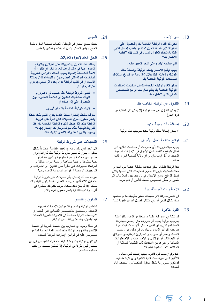.18 حق اإللغاء

**يحق لك إلغاء الوثيقة الخاصة بك والحصول على استرداد ألي أقساط تأمين تم دفعها بتقديم إخطار كتابي إلينا باستخدام العنوان المبين في البند** 40 **"كيفية االتصال بنا".**

**تتم معالجة اإللغاء على النحو المبين أدناه:**

**يجب توقيع اإلخطار بإلغاء الوثيقة بواسطة مالك الوثيقة وإعادته إلينا خالل** 30 **يوما من تاريخ استالمك لمستندات الوثيقة الخاصة بك.**

**يمكن إلغاء الوثيقة الخاصة بك قبل استالمك لمستندات الوثيقة الخاصة بك بالتواصل معنا أو مع المتخصص المالي الذي تتعامل معه.**

.19 التنازل عن الوثيقة الخاصة بك

ال يمكن التنازل عن هذه الوثيقة (ال يمكن نقل الملكية من فرد لأخر).

.20 إضافة مالك وثيقة جديد

ال يمكن إضافة مالك وثيقة جديد بموجب هذه الوثيقة.

21 لوائح مكافحة غسل الأموال

يجب عليك تزويدنا بأي معلومات أو مستندات نطلبها لكي نمتثل بلوائح مكافحة غسل األموال في اإلمارات العربية المتحدة أو آيل أوف مان أو أي والية قضائية أخرى ذات صلة.

تبدأ الوثيقة فقط أو تدفع عائدات مطالبة عندما تقوم أنت أو ممثلك/ممثليك بتزويدنا بجميع المعلومات التي نطلبها والتي تمتثل للوائح. يؤدي اإلخفاق في تزويدنا بهذه المعلومات إلى تأخير أو حظر تخصيص أقساط التأمين أو دفع مزية.

#### .22 اإلخطارات المرسلة إلينا

لن نتصرف وفقا الي تعليمات تتعلق بالوثيقة ما لم نستلمها منك بشكل كتابي أو بأي أشكال اتصال أخرى مقبولة لدينا.

#### .23 القوة القاهرة

لن تنشأ أي مسؤولية علينا إذا منعنا من الوفاء بالتزاماتنا بموجب الوثيقة بسبب أي ظروف خارج نطاق سيطرتنا المعقولة والتي يمكن تفسيرها على أنها حدث قوة قاهرة بموجب القوانين المعمول بها، بما في ذلك ودون تحديد القضاء والقدر أو الحرب أو الطوارئ الوطنية أو الحرائق أو الفيضانات أو الزالزل أو اإلضرابات أو االضطرابات العمالية أو غيرها من الأحداث ذات الطبيعة المماثلة أو المختلفة، "حدث القوة القاهرة".

عند وقوع حدث قوة قاهرة، يجب إعفائنا لفترة تعادل التأخير الذي سببه حدث القوة القاهرة وأي فترة إضافية قد تكون ضرورية بشكل معقول لتمكيننا من استئناف أداء أعمالنا.

#### .24 السياق

<span id="page-26-0"></span>حيث يسمح السياق في الوثيقة، الكلمات بصيغة المفرد تشمل الجمع وجنس المذكر يشمل المؤنث، والعكس بالعكس.

#### .25 **الحق العام إلجراء تعديالت**

**يستند عقد التأمين بينك وبيننا على القوانين واللوائح المعمول بها في وقت إبرامنا له. إذا تغير أي قانون أو الئحة ذات صلة )تحديدا بسبب إقامتك ألغراض الضريبة أو تغيرت الدولة التي تعيش فيها(، ونتيجة لذلك ال يمكننا االستمرار في تقديم الوثيقة دون وجود أثر سلبي جوهري علينا، يحق لنا:**

- **تعديل شروط الوثيقة هذه حسبما نراه ضروريا للوفاء بمتطلبات القانون أو الالئحة المتغيرة دون الحصول على إذن منك؛ أو**
	- **إنهاء الوثيقة الخاصة بك بأثر فوري.**

**سوف نمنحك إخطارا مسبقا عندما يكون القيام بذلك ممكنا بشكل معقول، حول التعديالت التي تطرأ على شروط الوثيقة هذه. إذا احتجنا إلنهاء الوثيقة الخاصة بك وفقا لشروط الوثيقة هذا، سوف نرسل لك "إشعار إنهاء" وسوف ينتهي العقد وفقا إلشعار اإلنهاء ذلك.**

#### .26 التعديالت على شروط الوثيقة

إلى الحد الذي يكون فيه أي تغيير متناسباً ومطلوباً بشكل معقول، يجوز لنا تغيير شروط الوثيقة هذه لمراعاة قرار صادر عن محكمة أو هيئة حكومية أو أمين مظالم أو جهة تنظيمية أو هيئة صناعية أو هيئة أخرى مماثلة أو لمراعاة التغييرات التي تطرأ على القانون، أو الضرائب أو التوجيهات الرسمية أو قواعد الممارسة المعمول بها.

سوف نقدم لك إخطارا بأي تعديالت على شروط الوثيقة هذه قبل ثالثة أشهر من نفاذ التعديل عندما يكون القيام بذلك ممكنا. إذا لم يكن ذلك ممكنا، سوف نقدم لك إخطارا في أقرب وقت يمكننا فيه بشكل معقول القيام بذلك.

#### .27 القانون والتفسير

تخضع الوثيقة وتفسر وفقا لقوانين اإلمارات العربية المتحدة، وستخضع لالختصاص القضائي غير الحصري ألي سلطة قانونية مختصة في اإلمارات العربية المتحدة فيما يتعلق بأية دعاوى تنشأ عن الوثيقة.

في حالة وجود أي تضارب بين النسخة العربية أو النسخة اإلنجليزية لشروط الوثيقة هذه، تسود اللغة العربية كما هو منصوص عليه في قوانين اإلمارات العربية المتحدة.

لن تكون الوثيقة وشروط الوثيقة هذه قابلة للتنفيذ من قبل أي شخص ليس طرفا في الوثيقة، إال لتمكين مستفيد من تقديم مطالبة صالحة.

8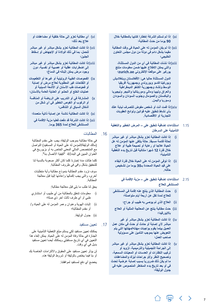- xi )**إذا لم تستلم الشركة إخطارا كتابيا بالمطالبة خالل 90 يوما من حدث المطالبة؛**
- xii )**إذا لم يكن المؤمن له على الحياة في وقت المطالبة مقيما بشكل دائم في دولة من دول مجلس التعاون الخليجي؛**
	- xiii)**إذا نشأت المطالبة في أي من الدول المستثناة، والتي يمكن االطالع عليها ضمن معلومات منتج يوركير على موقعنا اإللكتروني ae.zurich؛**

**الدول المستثناة حاليا هي: األفغانستان وبنغالديش وبوركينا فاسو وبوروندي وجمهورية أفريقيا الوسط وتشاد وجمهورية الكنغو الديمقراطية والعراق وليبيا ومالي وموريتانيا والنيجر ونيجيريا والباكستان والصومال وجنوب السودان والسودان وسوريا واليمن.**

- xiv)**إذا قمت أنت أو شخص مفوض للتصرف نيابة عنك بأي نشاط تنطبق عليه قوانين ولوائح العقوبات التجارية أو االقتصادية.**
- 1.15 **استثناءات إضافية تنطبق على المرض الخطير والتغطية التأمينية على السرطان**
- i )**إذا كانت المطالبة تعزو بشكل مباشر أو غير مباشر لحالة قائمة مسبقا. حالة يتلقى عنها المؤمن له عل الحياة عالجا أو رعاية أو نصيحة طبية أو عالج خالل فترة 12 شهرا متتالية قبل تاريخ بدء التغطية التأمينية؛**
	- ii )**إذا توفى المؤمن له على الحياة خالل فترة البقاء على قيد الحياة المحددة بـ30 يوما من تشخيص حالته.**
		- 2.15 **استثناءات إضافية تنطبق على مزية اإلقامة في المستشفى للعالج**
- i )**حدث المطالبة الذي ينتج عنه إقامة في المستشفى للعالج لمدة تقل عن أربعة أيام متواصلة؛**
	- ii )**العالج الذي لم يوصى به طبيب أو جراح؛**
- iii )**حدث مطالبة ينتج عن المعالجة المثلية أو العالج بااليورفيدا؛**
- iv )**إذا كانت المطالبة تعزو بشكل مباشر أو غير مباشر ألي إصابة أو حادث أو حدث في مكان عمل العميل بينما يقوم بواجبات مهنته/مهنتها التي يتم التعويض عنها بموجب التأمين على مسؤولية صاحب العمل؛**
- v )**إذا كانت المطالبة تعزو بشكل مباشر أو غير مباشر إلى الجراحة التجميلية والترميمية، تزويد أو تركيب النظارات أو العدسات أو المعينات السمعية، وتصحيح النظر و/أو جراحات ليزك والمضاعفات ً بسبب إصابة عرضية تحدث ما لم يكن ذلك ضروريا في أو بعد تاريخ بدء المخاطر المنصوص عليه في جدول الوثيقة؛**
- <span id="page-27-0"></span>vi )**أي مطالبة تعزو إلى حالة خلقية أو مضاعفات أو عالج بعد ذلك؛**
- vii )**إذا كانت المطالبة تعزو بشكل مباشر أو غير مباشر للحمل، بما في ذلك الوالدة أو اإلجهاض أو إسقاط الجنين؛**
- viii)**إذا كانت المطالبة تعزو بشكل مباشر أو غير مباشر إلى اضطرابات عقلية أو عصبية أو نفسية، دون وجود مرض يمكن إثباته في الدماغ؛**
- ix )**الفحوصات الطبية الروتينية أو غيرها أو التطعيمات أو اللقاحات غير المطلوبة لعالج مرض أو إصابة أو فحوصات طب األسنان أو األشعة السينية أو عمليات الخلع أو الحشو أو العناية العامة باألسنان؛**
- x )**المشاركة في أو التدريب على الرياضة أو المنافسة أو الركوب أو الغوص الخطير في أي شكل من أشكال السباق أو التنافس؛**
	- xi )**إذا كانت المطالبة ناشئة عن إصابة ذاتية متعمدة؛**
		- xii )**إذا كانت الشركة قد دفعت فعليا مزية اإلقامة في المستشفى للعالج لمدة 365 يوما.**
			- .16 المطالبات

في حالة مطالبة بموجب الوثيقة، يجب على مقدم المطالبة (مالك الوثيقة/المؤمن له على الحياة أو المستفيد) التواصل مع المتخصص المالي المعني الخاص به أو بزيوريخ في العنوان المبين في البند40 "كيفية االتصال بنا".

كلما طالت مدة إخبارنا كلما كان أكثر صعوبة بالنسبة لنا للتحقيق بشكل وافي في ظروف المطالبة.

سوف نزود مقدم المطالبة بنموذج مطالبة وأية متطلبات أخرى، والتي يجب إكمالها وإعادتها إلينا قبل معالجة المطالبة.

يحق لنا طلب ما يلي قبل معالجة مطالبة:

- i )معلومات تتعلق بالمطالبة من أي طبيب أو استشاري طبي أو أي طرف ثالث آخر ذي صلة؛
- ii )إثبات الهوية وعنوان وعمر المؤمن له على الحياة و/ أو مقدم المطالبة؛
	- iii )جدول الوثيقة.

#### .17 تعيين مستفيد

يمكنك تعيين مستفيد لكي يستلم مبلغ التغطية التأمينية على الجنازة في حالة وفاة المؤمن له على الحياة. يمكن إلغاء هذا التعيين في أي تاريخ مستقبلي ويمكنك أيضا تعيين مستفيد بديل في أي وقت.

لن يؤثر تعيين مستفيد على الحقوق وااللتزامات الخاصة بك أو بنا فيما يختص بالوثيقة أو شروط الوثيقة هذه.

يخضع أي دفع لمستفيد لموافقتنا.

7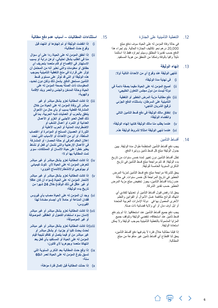#### .12 التغطية التأمينية على الجنازة

في حالة وفاة المؤمن له على الحياة سوف ندفع مبلغ 20,000 درهم نحو تكاليف الجنازة الحالية. يتم إجراء هذا الدفع حسب تقديرنا المطلق وسيتم إجراؤه فقط إذا استلمنا دليال وافيا بالوفاة وتمكنا من التحقق من هوية المستفيد.

#### .13 **إنهاء الوثيقة**

**تنتهي الوثيقة عند وقوع أي من األحداث التالية أوال:**

- i )**في نهاية مدة الوثيقة؛**
- ii )**أصبح المؤمن له على الحياة مقيما بصفة دائمة في دولة ليست من دول مجلس التعاون الخليجي؛**
	- iii )**دفع مطالبة مزية المرض الخطير أو التغطية التأمينية على السرطان، باستثناء الدفع الجزئي ترقيع الشريان التاجي؛**
	- iv )**إخفاق مالك الوثيقة في دفع قسط التأمين التالي وانقضاء الوثيقة؛**
- v )**عندما يطلب منا مالك الوثيقة كتابيا إنهاء الوثيقة؛**
	- vi )**عندما ننهي الوثيقة امتثاال لشروط الوثيقة هذه.**
		- .14 أقساط التأمين

يجب دفع أقساط التأمين المنتظمة طوال مدة الوثيقة. يبين جدول الوثيقة مبلغ كل قسط تأمين ووتيرة الدفع.

تظل أقساط التأمين دون تغيير لمدة خمس سنوات من تاريخ بدء الوثيقة. قد تتم مراجعة مبلغ قسط التأمين في تاريخ الذكرى السنوية الخامسة للوثيقة.

يحق للشركة مراجعة مبلغ دفع قسط التأمين لمزية المرض الخطير في تاريخ المراجعة كل خمس سنوات. في حالة عدم زيادة أقساط التأمين، يجوز تخفيض مبلغ مزية المرض الخطير حسب تقدير الشركة.

يحق لنا رفض قبول أقساط التأمين أو تعديلها لتفادي أي انتهاك للوائح مكافحة غسل األموال أو القوانين والنظم الأخرى المعمول بها في دولة الإمارات العربية المتحدة أو آيل أوف مان أو أي والية قضائية ذات صلة.

يجب دفع جميع أقساط التأمين عند استحقاقها. إذا لم يتم دفع قسط تأمين عند استحقاقه، تنقضي الوثيقة وتتوقف جميع المزايا المشمولة بالتغطية التأمينية بموجب الوثيقة وال يمكن استعادة الوثيقة.

إذا قبلنا مطالبة خالل فترة ال يتم فيها دفع أقساط التأمين، يحق لنا اقتطاع أي أقساط تأمين غير مدفوعة من مبلغ المطالبة.

- <span id="page-28-0"></span>.15 **استثناءات المطالبات – أسباب عدم دفع مطالبة**
	- i )**إذا انقضت الوثيقة أو تم إنهاؤها أو انتهت قبل وقوع حدث المطالبة؛**
- ii )**إذا أخفق المؤمن له على الحياة ردا على أي سؤال منا في الطلب بشكل احتيالي، أوعن دراية أو بسبب االستهتار في اإلفصاح أو قام متعمدا بتحريف أي حقائق أو معلومات والتي نعتبر أنه من المحتمل أن تؤثر على قرارنا في منح التغطية التأمينية بموجب هذه الوثيقة أو التي قد تؤثر على مستوى قسط التأمين مستحق الدفع. يشمل ذلك ولكن دون تحديد، المعلومات ذات الصلة بصحة المؤمن له على الحياة وحالة المدخن والجنس والعمر وبلد اإلقامة والهوية؛**
- iii )**إذا كانت المطالبة تعزو بشكل مباشر أو غير مباشر إلى وفاة المؤمن له على الحياة من خالل المشاركة الفعلية بسبب أو بأي حال من األحوال يتعلق بالحرب أو العمليات شبه الحربية، بما في ذلك أفعال العدو األجنبي أو الغزو أو األعمال العدائية أو التمرد أو أعمال الشغب أو االضطرابات المدنية أو الحرب األهلية أو الثورة أو العصيان المسلح أو المؤامرة أو اغتصاب السلطة، أو أي من األحداث أو األسباب التي تحدد إعالن الحكم العرفي أو حالة الحصار؛ أو المشاركة في األعمال اإلرهابية والتي تشمل أي فعل أو نشاط يعتبر خطرا على حياة االنسان أو الممتلكات، سوى تمت المطالبة بها أم ال؛**
- iv )**إذا كانت المطالبة تعزو بشكل مباشر أو غير مباشر لتعرض المؤمن له على الحياة ألي تلوث كيميائي أو بيولوجي أواالنشطار/االندماج النووي؛**
- v )**إذا كانت المطالبة تعزو بشكل مباشر أو غير مباشر النتحار المؤمن له على الحياة )سواء أن كان عاقال أو غير عاقل في ذلك الوقت( خالل 24 شهرا من تاريخ بدء الوثيقة؛**
- vi )**وجد أن المؤمن له على الحياة مصاب بأي فيروس فقدان المناعة أو حامال ألي أجسام مضادة لهذا الفيروس؛**
- vii )**إذا كانت المطالبة تعزو بشكل مباشر أو غير مباشر إلدمان سوء استخدام الكحول أو العقاقير الموصوفة أو غير الموصوفة؛**
- viii)**إذا كانت المطالبة تعزو بشكل مباشر أو غير مباشر لحدث يحدث كليا أو جزئيا، أو بشكل مباشر أو غير مباشر من أو فيما يتصل أو تفاقم نتيجة قيام المؤمن له على الحياة أو المستفيد بأي فعل يعد انتهاكا متعمدا وجوهريا ألي قانون؛**
	- ix )**إذا وقع حدث المطالبة بعد الذكرى السنوية التي تسبق بلوغ المؤمن له على الحياة لعمر الـ60 سنة؛**
		- x )**إذا حدثت المطالبة قبل إكمال فترة مؤهلة؛**

『同 く

 $\rightarrow$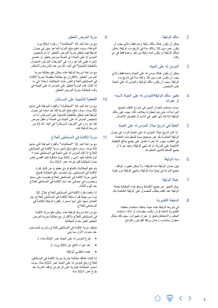.2 مالك الوثيقة

يمكن أن يكون هناك مالك وثيقة واحد فقط والذي يجب أن يكون عمره بين 18 و49 سنة في تاريخ بدء الوثيقة. يمكن لمالك الوثيقة أن يكون لديه وثيقة يوركير واحدة فقط في أي وقت.

#### .3 المؤمن له على الحياة

يمكن أن يكون هناك مؤمن له على الحياة واحدة فقط والذي يجب أن يكون عمره بين 18 و49 سنة في تاريخ بدء الوثيقة. يجب أن يكون مالك الوثيقة والمؤمن له على الحياة نفس الشخص.

4. تغيير مالك الوثيقة/المؤمن له على الحياة لاسمه أو عنوانه

سوف نستخدم العنوان المبين في نموذج الطلب لجميع المراسالت حتى يتم إخطارنا بخالف ذلك. يجب على مالك الوثيقة إبالغنا بأي تغيير في االسم أو تفاصيل االتصال.

.5 الخطأ في تاريخ ميالد المؤمن له على الحياة

 إذا كان تاريخ ميالد المؤمن له على الحياة الوارد في جدول الوثيقة الخاصة بك غير صحيح نسبة للمعلومات المقدمة في الطلب، يجوز لنا إجراء تعديل على جميع مبالغ التغطية التأمينية على المزية، أو قد ننهي الوثيقة ونعيد جزءاً أو جميع أقساط التأمين المدفوعة.

.6 مدة الوثيقة

يبين جدول الوثيقة مدة الوثيقة، وال يمكن تغييره. تتوقف جميع المزايا في نهاية مدة الوثيقة وتنتهي الوثيقة دون قيمة.

.7 عملة الوثيقة

سيتم التعبير عن جميع الأقساط ومدفوعات المطالبة بعملة الوثيقة عند التقدم بطلب للحصول على الوثيقة الخاصة بك.

.8 السلطة التقديرية

介 "司

في شروط الوثيقة هذه، حيث يمكننا استخدام سلطتنا التقديرية التخاذ قرار، طلب معلومات أو أدلة، استخدام الحكم، واالحتفاظ بالحق أو إجراء تغييرات، سيتم ذلك بشكل معقول ومتناسب وعادل ووفقا للقوانين واللوائح.

#### .9 مزية المرض الخطير

<span id="page-29-0"></span>مع مراعاة البند 16 "المطالبات" - وفترة الـ90 يوما المؤهلة، سوف ندفع مبلغ المزية كما هو مبين في جدول الوثيقة فيما يتعلق بمزية المرض الخطير إذا تم تشخيص المؤمن له على الحياة ذي الصلة بمرض خطير أو خضع إلجراء طبي كما هو وارد في "تعريفات المرض المشمول بالتغطية التأمينية" في البند 41 من هذه الشروط واألحكام.

مع مراعاة شروط الوثيقة هذه، يمكن دفع مطالبة بمزية المرض الخطير باالقتران مع مطالبة منفصلة بمزية اإلقامة في المستشفى للعالج لنفس حدث المطالبة، استنادا إلى ما إذا كانت هذه المزية تنطبق على المؤمن له على الحياة في وقت المطالبة بمزية المرض الخطير.

### .10 التغطية التأمينية على السرطان

مع مراعاة البند 16 "المطالبات" والفترة المؤهلة التي مدتها 90 يوما، سوف ندفع مبلغ المزية كما هو محدد في جدول الوثيقة فيما يتعلق بالتغطية التأمينية على السرطان إذا تم تشخيص المؤمن له على الحياة ذي الصلة أو طفل بمرض كما هو وارد في "تعريف السرطان" في البند 41 )أ( من شروط الوثيقة هذه.

#### .11 مزية اإلقامة في المستشفى للعالج

مع مراعاة البند 16 "المطالبات" والفترة المؤهلة التي مدتها 90 يوما، سوف ندفع مبلغ تأمين مزية اإلقامة في المستشفى للعالج إذا أقام المؤمن له على الحياة في المستشفى لمدة 4 أيام متتالية كحد أدنى و 365 يوما متتالية كحد أقصى لنفس حدث المطالبة قبل بلوغه عمر الـ60 سنة.

يتم دفع المطالبات كمبلغ فردي مقطوع عن كامل فترة اإلقامة في المستشفى. يتم احتساب دفع المطالبة كمبلغ تأمين مزية اإلقامة في المستشفى للعالج مقسوما على سبعة ومضروبا في إجمالي عدد أيام اإلقامة في المستشفى للعالج بعد اليوم الثالث.

إذا وقعت فترة اإلقامة في المستشفى للعالج خالل 30 يوما من نهاية فترة سابقة لإلقامة في المستشفى للعالج، يتم التعامل معها على أنها استمرار للفترة السابقة لإلقامة في المستشفى للعالج.

مع مراعاة شروط الوثيقة هذه، يمكن دفع مزية اإلقامة في المستشفى للعالج باالقتران مع مطالبة بمزية المرض الخطير لنفس حدث المطالبة.

تتوقف مزية اإلقامة في المستشفى للعالج والرسم المصاحب عند حدوث الأول مما يلي:

- بلوغ المؤمن له على الحياة عمر الـ60 سنة، أو
	- عند إجراء الدفع عن 365 يوما، أو
		- عندما تنقضي الوثيقة.

إذا كانت هنالك مطالبة جارية بمزية اإلقامة في المستشفى للعالج وبلغ المؤمن له على الحياة عمر الـ60 سنة، سوف تستمر المطالبة الجارية على الرغم من توقف المزية عند بلوغ عمر الـ60 سنة.

 $\rightarrow$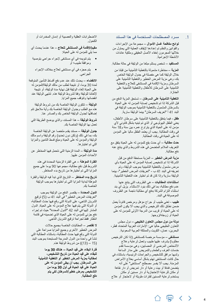#### مسرد المصطلحات المستخدمة في هذا المستند . 1

**لوائح مكافحة غسل األموال** – مجموعة من اإلجراءات والقوانين والنظم تم إعدادها إليقاف العملية التي يحاول من خلالها المجرمون إخفاء الأصل الحقيقي وملكية عائدات الأنشطة الإجرامية.

**المستفيد** – شخص يستلم مبلغا من الوثيقة في حالة مطالبة.

**المزية** – مخاطرة مشمولة بالتغطية التأمينية من قبلنا من خالل الوثيقة كما هي مفصلة في جدول الوثيقة الخاص بك، وهي مزية المرض الخطير والتغطية التأمينية على السرطان ومزية اإلقامة في المستشفى للعالج والتغطية التأمينية على السرطان لألطفال والتغطية التأمينية على الجنازة.

**التغطية التأمينية على السرطان** – تستحق المزية الدفع من قبل الشركة إذا تم تشخيص إصابة المؤمن له على الحياة بالسرطان المشمول بالتغطية التأمينية بموجب الوثيقة في البند 41 أ "تعريف السرطان" بينما الوثيقة سارية.

**طفل** - فيما يتعلق بالتغطية التأمينية على سرطان األطفال، يعني الطفل البيولوجي أو الذي تم تبنيه بشكل قانوني ألي مؤمن له على الحياة الذي يتراوح عمره بين سنة و18 سنة في وقت المطالبة. يجب أن يعتمد الطفل ماليا على المؤمن له على الحياة في وقت المطالبة.

**حدث مطالبة** – أي حدث يقع للمؤمن له على الحياة يتفق مع التعريف المالئم المتضمن في هذه الشروط والذي ينتج عنه دفع مطالبة.

**مزية المرض الخطير** – المزية مستحقة الدفع من قبل الشركة إذا تم تشخيص إصابة المؤمن له على الحياة بأي مرض مشمول بالتغطية التأمينية بموجب الوثيقة، وتم تعريفه في البند 41 ب - "تعريفات المرض الخطير"، بينما الوثيقة سارية وإذا كان قد تم اختيار هذه التغطية التأمينية.

**استثناءات المطالبات** – هي الظروف التي ينتج عنها عدم دفع مطالبة، بما في ذلك بنود االستثناء. يزيل أي بند استثناء التزام الشركة بدفع أي مطالبة ناجمة عن الظروف الموصوفة في البند.

**طبيب** - تعني طبيب أو جراح مؤهل ومرخص قانوناً يعمل ضمن نطاق ذلك الترخيص والذي يجب أال يكون المؤمن له على الحياة أو قريب من الدرجة األولى للمؤمن له على الحياة أو زوجته/زوجها.

**دولة من دول مجلس التعاون الخليجي** – دول مجلس التعاون الخليجي حاليا هي: اإلمارات العربية المتحدة، قطر، البحرين، عمان، الكويت والمملكة العربية السعودية.

**مستشفى** – مؤسسة مرخصة كمستشفى )إذا كان الترخيص مطلوبا) يشرف عليها طبيب وتعمل لرعاية وعلاج األشخاص المرضى أو المصابين، وهي مؤسسة تقدم خدمات الغرف والطعام والتمريض على مدار الساعة ولديها مرافق للتشخيص والجراحات الرئيسية، باستثناء في حال كانت المستشفى تهتم بشكل أساسي بعالج األمراض المزمنة. يجب أال يفسر مصطلح "مستشفى" على أنه يتضمن فندقا أو بيت رعاية أو دار تمريض أو دار نقاهة أو مكان للرعاية االحتجازية أو دار مسنين أو مكان يستخدم لرعاية المسنين لفترات طويلة أو لاحتجاز أو علاج

<span id="page-30-0"></span>االضطرابات العقلية والعصبية أو إدمان المخدرات أو الكحول.

**مقيم/اإلقامة في المستشفى للعالج** – هذا عندما يحدث أي مما يلي للمؤمن له على الحياة:

- يتم تنويمه في أي مستشفى إلجراء جراحي بتوصية وموافقة طبيب؛ أو
	- يتم حجزه في أي مستشفى لعالج بخالف اإلجراء الجراحي.

**االنقضاء** – يحدث ذلك عند عدم دفع أقساط التأمين المتوقعة لمدة 30 يوما، أو نتيجة لطلب من مالك الوثيقة/المؤمن له على الحياة إلغاء الوثيقة قبل نهاية مدة الوثيقة، أو نتيجة إللغائنا للوثيقة وفقا لشروط الوثيقة هذه. تنتهي الوثيقة عند انقضائها وتتوقف جميع المزايا.

**الوثيقة** – تتكون الوثيقة الخاصة بك من شروط الوثيقة هذه مع الطلب وجدول الوثيقة الخاصة بك وأية مالحق تتم إضافتها لجدول الوثيقة الخاص بك والصادر عنا.

**شروط الوثيقة** – هذا المستند، والذي يوضح الطريقة التي تعمل بها الوثيقة الخاصة بك.

**جدول الوثيقة** – مستند يقدم ملخصا عن الوثيقة الخاصة بك، بما في ذلك (ولكن دون تحديد) رقم الوثيقة واسم مالك الوثيقة والمؤمن له على الحياة ومبلغ قسط التامين والمزايا التي تم اختيارها.

**مدة الوثيقة** – المدة الزمنية التي نتحمل فيها المخاطر عن األحداث المؤمن عليها.

**الفترة المؤهلة** – هي الفترة الزمنية المحددة في هذه الشروط قبل دفع مطالبة، مجموعها 90 يوما على جميع المزايا التي تم اختيارها من تاريخ بدء المخاطر.

**تاريخ بدء المخاطر** – التاريخ الذي تبدأ فيه الوثيقة والفترة المؤهلة لبداية المزايا التي تم اختيارها بموجب الوثيقة الخاصة بك.

**الدول المحددة** – يقتصر الدفع من الوثيقة بموجب "تعريفات المر الخطير " في البند 41 ب (5) ترقيع الشريان التاجي، على الدولة التي وقع فيها حدث المطالبة، أو الدولة التي يتم فيها عالج المؤمن له على الحياة. الدول المشار إليها في البند 42 "الدول المحددة" حيث تم إجراء دفع جزئي للمؤمن له على الحياة الذي تضمينه في قائمة انتظار فقط لجراحة ترقيع الشريان التاجي.

**ال تقتصر** – المطالبات الخاصة بجميع حاالت المرض الخطير الأخرى وجميع المزايا صراحة على الدولة التي وقع فيها حدث المطالبة، باستثناء المطالبة التي تنشأ في واحدة من الدول المدرجة المستبعدة بموجب البند (15 – (13)) من شروط الوثيقة هذه.

> **فترة البقاء على قيد الحياة – هنالك 30 يوما للبقاء على قيد الحياة من تاريخ التشخيص، لمطالبة بمزية المرض الخطير أو التغطية التأمينية على السرطان. يجب أن يبقى المؤمن له على الحياة على قيد الحياة في أول 30 يوما من التشخيص بمرض خطير/السرطان لكي يتم دفع المطالبة.**

> > △ 审 〈 〉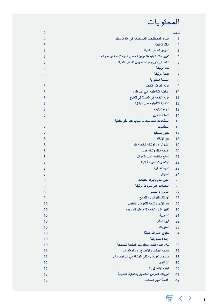## المحتويات

| 2<br>تمهيد<br>مسرد المصطلحات المستخدمة في هذا المستند<br>4<br>.1<br>مالك الوثيقة<br>.2<br>5<br>المؤمن له على الحياة<br>.3<br>5<br>تغيير مالك الوثيقة/الموّمن له على الحياة لاسمه أو عنوانه<br>5<br>.4<br>الخطأ في تاريخ ميلاد المؤمن له على الحياة<br>.5<br>5<br>مدة الوثيقة<br>.6<br>5<br>عملة الوثيقة<br>.7<br>5<br>السلطة التقديرية<br>.8<br>5<br>مزية المرض الخطير<br>.9<br>5<br>التغطية التأمينية على السرطان<br>.10<br>5<br>مزية الإقامة في المستشفى للعلاج<br>.11<br>5<br>التغطية التأمينية على الجنازة<br>.12<br>6<br>إنهاء الوثيقة<br>.13<br>6<br>أقساط التأمين<br>.14<br>6<br>استثناءات المطالبات – أسباب عدم دفع مطالبة<br>.15<br>6<br>المطالبات<br>.16<br>7<br>.17<br>7<br>تعيين مستفيد<br>حق الإلغاء<br>.18<br>8<br>التنازل عن الوثيقة الخاصة بك<br>.19<br>8<br>إضافة مالك وثيقة جديد<br>.20<br>8<br>لوائح مكافحة غسل الأموال<br>.21<br>8<br>الإخطارات المرسلة إلينا<br>.22<br>8<br>القوة القاهرة<br>.23<br>8<br>.24<br>8<br>السياق<br>الحق العام لإجراء تعديلات<br>.25<br>8<br>التعديلات على شروط الوثيقة<br>.26<br>8<br>8<br>القانون والتفسير<br>.27<br>الامتثال للقوانين واللوائح<br>9<br>.28<br>حق الإنهاء نتيجة للتعرض التنظيمي<br>10<br>.29<br>تغيير مكان الإقامة لأغراض الضريبة<br>10<br>.30<br>الضريبة<br>10<br>.31<br>قيود الدفع<br>.32<br>10<br>10<br>العقوبات<br>.33<br>حقوق الأطراف الثالثة<br>10<br>.34<br>إخلاء مسؤولية<br>.35<br>10<br>بيان عدم اعتماد المعلومات المقدمة كنصيحة<br>10<br>.36<br>حماية البيانات والإفصاح عن المعلومات<br>11<br>.37<br>صندوق تعويض مالكي الوثيقة في آيل أوف مان<br>11<br>.38<br>12<br>الشكاوى<br>.39<br>كيفية الاتصال بنا<br>12<br>.40<br>تعريفات المرض المشمول بالتغطية التأمينية<br>.41<br>13<br>قائمة الدول المحددة<br>15<br>.42 |  |  |
|-----------------------------------------------------------------------------------------------------------------------------------------------------------------------------------------------------------------------------------------------------------------------------------------------------------------------------------------------------------------------------------------------------------------------------------------------------------------------------------------------------------------------------------------------------------------------------------------------------------------------------------------------------------------------------------------------------------------------------------------------------------------------------------------------------------------------------------------------------------------------------------------------------------------------------------------------------------------------------------------------------------------------------------------------------------------------------------------------------------------------------------------------------------------------------------------------------------------------------------------------------------------------------------------------------------------------------------------------------------------------------------------------------------------------------------------------------------------------------------------------------------------------------------------------------------------------------------------------------------------------------------------------------------------------------------------------|--|--|
|                                                                                                                                                                                                                                                                                                                                                                                                                                                                                                                                                                                                                                                                                                                                                                                                                                                                                                                                                                                                                                                                                                                                                                                                                                                                                                                                                                                                                                                                                                                                                                                                                                                                                               |  |  |
|                                                                                                                                                                                                                                                                                                                                                                                                                                                                                                                                                                                                                                                                                                                                                                                                                                                                                                                                                                                                                                                                                                                                                                                                                                                                                                                                                                                                                                                                                                                                                                                                                                                                                               |  |  |
|                                                                                                                                                                                                                                                                                                                                                                                                                                                                                                                                                                                                                                                                                                                                                                                                                                                                                                                                                                                                                                                                                                                                                                                                                                                                                                                                                                                                                                                                                                                                                                                                                                                                                               |  |  |
|                                                                                                                                                                                                                                                                                                                                                                                                                                                                                                                                                                                                                                                                                                                                                                                                                                                                                                                                                                                                                                                                                                                                                                                                                                                                                                                                                                                                                                                                                                                                                                                                                                                                                               |  |  |
|                                                                                                                                                                                                                                                                                                                                                                                                                                                                                                                                                                                                                                                                                                                                                                                                                                                                                                                                                                                                                                                                                                                                                                                                                                                                                                                                                                                                                                                                                                                                                                                                                                                                                               |  |  |
|                                                                                                                                                                                                                                                                                                                                                                                                                                                                                                                                                                                                                                                                                                                                                                                                                                                                                                                                                                                                                                                                                                                                                                                                                                                                                                                                                                                                                                                                                                                                                                                                                                                                                               |  |  |
|                                                                                                                                                                                                                                                                                                                                                                                                                                                                                                                                                                                                                                                                                                                                                                                                                                                                                                                                                                                                                                                                                                                                                                                                                                                                                                                                                                                                                                                                                                                                                                                                                                                                                               |  |  |
|                                                                                                                                                                                                                                                                                                                                                                                                                                                                                                                                                                                                                                                                                                                                                                                                                                                                                                                                                                                                                                                                                                                                                                                                                                                                                                                                                                                                                                                                                                                                                                                                                                                                                               |  |  |
|                                                                                                                                                                                                                                                                                                                                                                                                                                                                                                                                                                                                                                                                                                                                                                                                                                                                                                                                                                                                                                                                                                                                                                                                                                                                                                                                                                                                                                                                                                                                                                                                                                                                                               |  |  |
|                                                                                                                                                                                                                                                                                                                                                                                                                                                                                                                                                                                                                                                                                                                                                                                                                                                                                                                                                                                                                                                                                                                                                                                                                                                                                                                                                                                                                                                                                                                                                                                                                                                                                               |  |  |
|                                                                                                                                                                                                                                                                                                                                                                                                                                                                                                                                                                                                                                                                                                                                                                                                                                                                                                                                                                                                                                                                                                                                                                                                                                                                                                                                                                                                                                                                                                                                                                                                                                                                                               |  |  |
|                                                                                                                                                                                                                                                                                                                                                                                                                                                                                                                                                                                                                                                                                                                                                                                                                                                                                                                                                                                                                                                                                                                                                                                                                                                                                                                                                                                                                                                                                                                                                                                                                                                                                               |  |  |
|                                                                                                                                                                                                                                                                                                                                                                                                                                                                                                                                                                                                                                                                                                                                                                                                                                                                                                                                                                                                                                                                                                                                                                                                                                                                                                                                                                                                                                                                                                                                                                                                                                                                                               |  |  |
|                                                                                                                                                                                                                                                                                                                                                                                                                                                                                                                                                                                                                                                                                                                                                                                                                                                                                                                                                                                                                                                                                                                                                                                                                                                                                                                                                                                                                                                                                                                                                                                                                                                                                               |  |  |
|                                                                                                                                                                                                                                                                                                                                                                                                                                                                                                                                                                                                                                                                                                                                                                                                                                                                                                                                                                                                                                                                                                                                                                                                                                                                                                                                                                                                                                                                                                                                                                                                                                                                                               |  |  |
|                                                                                                                                                                                                                                                                                                                                                                                                                                                                                                                                                                                                                                                                                                                                                                                                                                                                                                                                                                                                                                                                                                                                                                                                                                                                                                                                                                                                                                                                                                                                                                                                                                                                                               |  |  |
|                                                                                                                                                                                                                                                                                                                                                                                                                                                                                                                                                                                                                                                                                                                                                                                                                                                                                                                                                                                                                                                                                                                                                                                                                                                                                                                                                                                                                                                                                                                                                                                                                                                                                               |  |  |
|                                                                                                                                                                                                                                                                                                                                                                                                                                                                                                                                                                                                                                                                                                                                                                                                                                                                                                                                                                                                                                                                                                                                                                                                                                                                                                                                                                                                                                                                                                                                                                                                                                                                                               |  |  |
|                                                                                                                                                                                                                                                                                                                                                                                                                                                                                                                                                                                                                                                                                                                                                                                                                                                                                                                                                                                                                                                                                                                                                                                                                                                                                                                                                                                                                                                                                                                                                                                                                                                                                               |  |  |
|                                                                                                                                                                                                                                                                                                                                                                                                                                                                                                                                                                                                                                                                                                                                                                                                                                                                                                                                                                                                                                                                                                                                                                                                                                                                                                                                                                                                                                                                                                                                                                                                                                                                                               |  |  |
|                                                                                                                                                                                                                                                                                                                                                                                                                                                                                                                                                                                                                                                                                                                                                                                                                                                                                                                                                                                                                                                                                                                                                                                                                                                                                                                                                                                                                                                                                                                                                                                                                                                                                               |  |  |
|                                                                                                                                                                                                                                                                                                                                                                                                                                                                                                                                                                                                                                                                                                                                                                                                                                                                                                                                                                                                                                                                                                                                                                                                                                                                                                                                                                                                                                                                                                                                                                                                                                                                                               |  |  |
|                                                                                                                                                                                                                                                                                                                                                                                                                                                                                                                                                                                                                                                                                                                                                                                                                                                                                                                                                                                                                                                                                                                                                                                                                                                                                                                                                                                                                                                                                                                                                                                                                                                                                               |  |  |
|                                                                                                                                                                                                                                                                                                                                                                                                                                                                                                                                                                                                                                                                                                                                                                                                                                                                                                                                                                                                                                                                                                                                                                                                                                                                                                                                                                                                                                                                                                                                                                                                                                                                                               |  |  |
|                                                                                                                                                                                                                                                                                                                                                                                                                                                                                                                                                                                                                                                                                                                                                                                                                                                                                                                                                                                                                                                                                                                                                                                                                                                                                                                                                                                                                                                                                                                                                                                                                                                                                               |  |  |
|                                                                                                                                                                                                                                                                                                                                                                                                                                                                                                                                                                                                                                                                                                                                                                                                                                                                                                                                                                                                                                                                                                                                                                                                                                                                                                                                                                                                                                                                                                                                                                                                                                                                                               |  |  |
|                                                                                                                                                                                                                                                                                                                                                                                                                                                                                                                                                                                                                                                                                                                                                                                                                                                                                                                                                                                                                                                                                                                                                                                                                                                                                                                                                                                                                                                                                                                                                                                                                                                                                               |  |  |
|                                                                                                                                                                                                                                                                                                                                                                                                                                                                                                                                                                                                                                                                                                                                                                                                                                                                                                                                                                                                                                                                                                                                                                                                                                                                                                                                                                                                                                                                                                                                                                                                                                                                                               |  |  |
|                                                                                                                                                                                                                                                                                                                                                                                                                                                                                                                                                                                                                                                                                                                                                                                                                                                                                                                                                                                                                                                                                                                                                                                                                                                                                                                                                                                                                                                                                                                                                                                                                                                                                               |  |  |
|                                                                                                                                                                                                                                                                                                                                                                                                                                                                                                                                                                                                                                                                                                                                                                                                                                                                                                                                                                                                                                                                                                                                                                                                                                                                                                                                                                                                                                                                                                                                                                                                                                                                                               |  |  |
|                                                                                                                                                                                                                                                                                                                                                                                                                                                                                                                                                                                                                                                                                                                                                                                                                                                                                                                                                                                                                                                                                                                                                                                                                                                                                                                                                                                                                                                                                                                                                                                                                                                                                               |  |  |
|                                                                                                                                                                                                                                                                                                                                                                                                                                                                                                                                                                                                                                                                                                                                                                                                                                                                                                                                                                                                                                                                                                                                                                                                                                                                                                                                                                                                                                                                                                                                                                                                                                                                                               |  |  |
|                                                                                                                                                                                                                                                                                                                                                                                                                                                                                                                                                                                                                                                                                                                                                                                                                                                                                                                                                                                                                                                                                                                                                                                                                                                                                                                                                                                                                                                                                                                                                                                                                                                                                               |  |  |
|                                                                                                                                                                                                                                                                                                                                                                                                                                                                                                                                                                                                                                                                                                                                                                                                                                                                                                                                                                                                                                                                                                                                                                                                                                                                                                                                                                                                                                                                                                                                                                                                                                                                                               |  |  |
|                                                                                                                                                                                                                                                                                                                                                                                                                                                                                                                                                                                                                                                                                                                                                                                                                                                                                                                                                                                                                                                                                                                                                                                                                                                                                                                                                                                                                                                                                                                                                                                                                                                                                               |  |  |
|                                                                                                                                                                                                                                                                                                                                                                                                                                                                                                                                                                                                                                                                                                                                                                                                                                                                                                                                                                                                                                                                                                                                                                                                                                                                                                                                                                                                                                                                                                                                                                                                                                                                                               |  |  |
|                                                                                                                                                                                                                                                                                                                                                                                                                                                                                                                                                                                                                                                                                                                                                                                                                                                                                                                                                                                                                                                                                                                                                                                                                                                                                                                                                                                                                                                                                                                                                                                                                                                                                               |  |  |
|                                                                                                                                                                                                                                                                                                                                                                                                                                                                                                                                                                                                                                                                                                                                                                                                                                                                                                                                                                                                                                                                                                                                                                                                                                                                                                                                                                                                                                                                                                                                                                                                                                                                                               |  |  |
|                                                                                                                                                                                                                                                                                                                                                                                                                                                                                                                                                                                                                                                                                                                                                                                                                                                                                                                                                                                                                                                                                                                                                                                                                                                                                                                                                                                                                                                                                                                                                                                                                                                                                               |  |  |
|                                                                                                                                                                                                                                                                                                                                                                                                                                                                                                                                                                                                                                                                                                                                                                                                                                                                                                                                                                                                                                                                                                                                                                                                                                                                                                                                                                                                                                                                                                                                                                                                                                                                                               |  |  |
|                                                                                                                                                                                                                                                                                                                                                                                                                                                                                                                                                                                                                                                                                                                                                                                                                                                                                                                                                                                                                                                                                                                                                                                                                                                                                                                                                                                                                                                                                                                                                                                                                                                                                               |  |  |
|                                                                                                                                                                                                                                                                                                                                                                                                                                                                                                                                                                                                                                                                                                                                                                                                                                                                                                                                                                                                                                                                                                                                                                                                                                                                                                                                                                                                                                                                                                                                                                                                                                                                                               |  |  |
|                                                                                                                                                                                                                                                                                                                                                                                                                                                                                                                                                                                                                                                                                                                                                                                                                                                                                                                                                                                                                                                                                                                                                                                                                                                                                                                                                                                                                                                                                                                                                                                                                                                                                               |  |  |

 $\begin{array}{ccc} \text{C} & \text{D} & \text{A} & \text{A} & \text{B} \\ \text{C} & \text{A} & \text{B} & \text{B} & \text{B} \\ \text{C} & \text{A} & \text{B} & \text{B} & \text{B} \end{array}$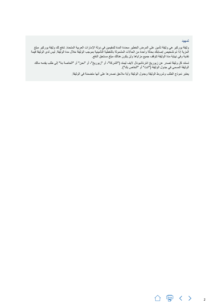#### تمهيد

<span id="page-32-0"></span>وثيقة يوركير هي وثيقة تأمين على المرض الخطير محددة المدة للمقيمين في دولة اإلمارات العربية المتحدة. تدفع لك وثيقة يوركير مبلغ المزية إذا تم تشخيص إصابتك بحالة واحدة من الحاالت المشمولة بالتغطية التأمينية بموجب الوثيقة خالل مدة الوثيقة. ليس لدى الوثيقة قيمة نقدية وفي نهاية مدة الوثيقة تتوقف جميع مزاياها ولن يكون هنالك مبلغ مستحق الدفع.

تستند كل وثيقة تصدر عن زيوريخ انترناشيونال اليف ليمتد )"الشركة"، أو "زيوريخ"، أو "نحن" أو "الخاصة بنا" إلى طلب يقدمه مالك الوثيقة المسمى في جدول الوثيقة ("انت" أو "الخاص بك").

يعتبر نموذج الطلب وشروط الوثيقة وجدول الوثيقة وأية مالحق نصدرها على أنها متضمنة في الوثيقة.

2